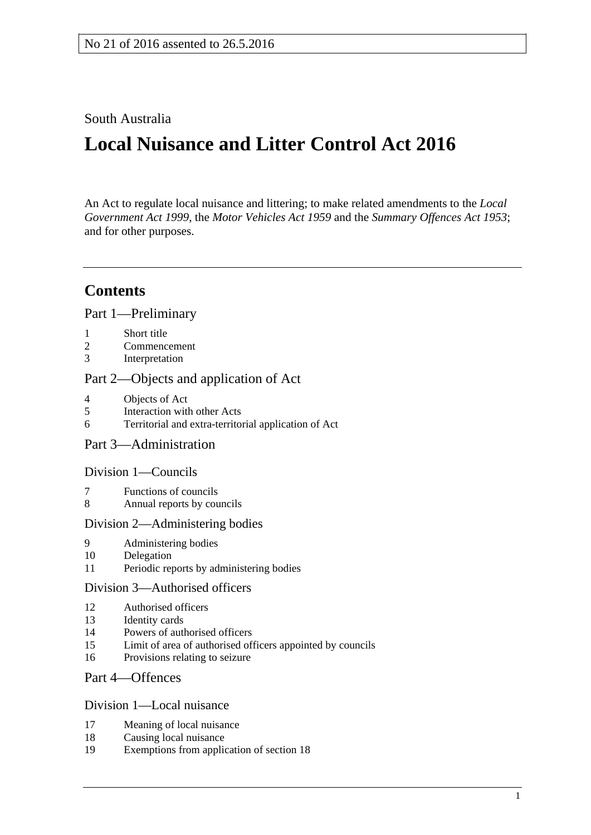South Australia

# **Local Nuisance and Litter Control Act 2016**

An Act to regulate local nuisance and littering; to make related amendments to the *[Local](http://www.legislation.sa.gov.au/index.aspx?action=legref&type=act&legtitle=Local%20Government%20Act%201999)  [Government](http://www.legislation.sa.gov.au/index.aspx?action=legref&type=act&legtitle=Local%20Government%20Act%201999) Act 1999*, the *[Motor Vehicles Act](http://www.legislation.sa.gov.au/index.aspx?action=legref&type=act&legtitle=Motor%20Vehicles%20Act%201959) 1959* and the *[Summary Offences Act](http://www.legislation.sa.gov.au/index.aspx?action=legref&type=act&legtitle=Summary%20Offences%20Act%201953) 1953*; and for other purposes.

## **Contents**

Part [1—Preliminary](#page-2-0)

- 1 [Short title](#page-2-1)
- 2 [Commencement](#page-2-2)
- 3 [Interpretation](#page-2-3)

## Part [2—Objects and application of Act](#page-3-0)

- 4 [Objects of Act](#page-3-1)<br>5 Interaction with
- 5 [Interaction with other Acts](#page-3-2)
- 6 [Territorial and extra-territorial application of Act](#page-4-0)

## Part [3—Administration](#page-4-1)

## Division [1—Councils](#page-4-2)

- 7 [Functions of councils](#page-4-3)<br>8 Annual reports by council
- [Annual reports by councils](#page-5-0)

### Division [2—Administering bodies](#page-5-1)

- 9 [Administering bodies](#page-5-2)
- 10 [Delegation](#page-5-3)
- 11 [Periodic reports by administering](#page-6-0) bodies

### Division [3—Authorised officers](#page-6-1)

- 12 [Authorised officers](#page-6-2)
- 13 [Identity cards](#page-6-3)
- 14 [Powers of authorised officers](#page-7-0)
- 15 [Limit of area of authorised officers appointed by councils](#page-9-0)
- 16 [Provisions relating to seizure](#page-9-1)

## Part [4—Offences](#page-11-0)

### Division [1—Local nuisance](#page-11-1)

- 17 [Meaning of local nuisance](#page-11-2)
- 18 [Causing local nuisance](#page-11-3)
- 19 [Exemptions from application of section](#page-12-0) 18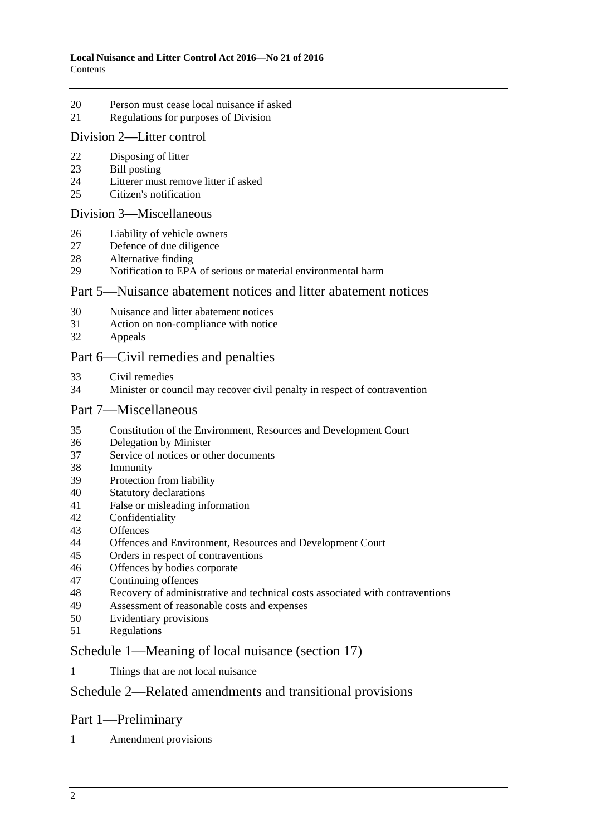- [Person must cease local nuisance if asked](#page-13-0)
- [Regulations for purposes of Division](#page-13-1)

### Division [2—Litter control](#page-14-0)

- 
- [Disposing of litter](#page-14-1)<br>23 Bill posting [Bill posting](#page-16-0)
- [Litterer must remove litter if asked](#page-17-0)<br>25 Citizen's notification
- [Citizen's notification](#page-17-1)

#### Division [3—Miscellaneous](#page-17-2)

- [Liability of vehicle owners](#page-17-3)
- [Defence of due diligence](#page-19-0)
- [Alternative finding](#page-20-0)
- Notification to EPA [of serious or material environmental harm](#page-20-1)

### Part [5—Nuisance abatement notices and litter abatement notices](#page-21-0)

- [Nuisance and litter abatement notices](#page-21-1)
- [Action on non-compliance with notice](#page-23-0)
- [Appeals](#page-23-1)

## Part [6—Civil remedies and penalties](#page-24-0)

- [Civil remedies](#page-24-1)
- [Minister or council may recover civil penalty in respect of contravention](#page-28-0)

### Part [7—Miscellaneous](#page-29-0)

- [Constitution of the Environment, Resources and Development Court](#page-29-1)
- [Delegation by Minister](#page-30-0)
- [Service of notices or other documents](#page-30-1)
- [Immunity](#page-31-0)
- [Protection from liability](#page-31-1)
- [Statutory declarations](#page-31-2)<br>41 False or misleading in
- [False or misleading information](#page-31-3)
- [Confidentiality](#page-31-4)
- [Offences](#page-32-0)
- [Offences and Environment, Resources and Development Court](#page-32-1)
- [Orders in respect of contraventions](#page-32-2)
- [Offences by bodies corporate](#page-33-0)
- [Continuing offences](#page-33-1)
- [Recovery of administrative and technical costs associated with contraventions](#page-34-0)
- [Assessment of reasonable costs and expenses](#page-35-0)
- [Evidentiary provisions](#page-35-1)
- [Regulations](#page-36-0)

## Schedule [1—Meaning of local nuisance \(section](#page-38-0) 17)

[Things that are not local nuisance](#page-38-1)

## Schedule [2—Related amendments and transitional provisions](#page-39-0)

## Part 1—Preliminary

[Amendment provisions](#page-39-1)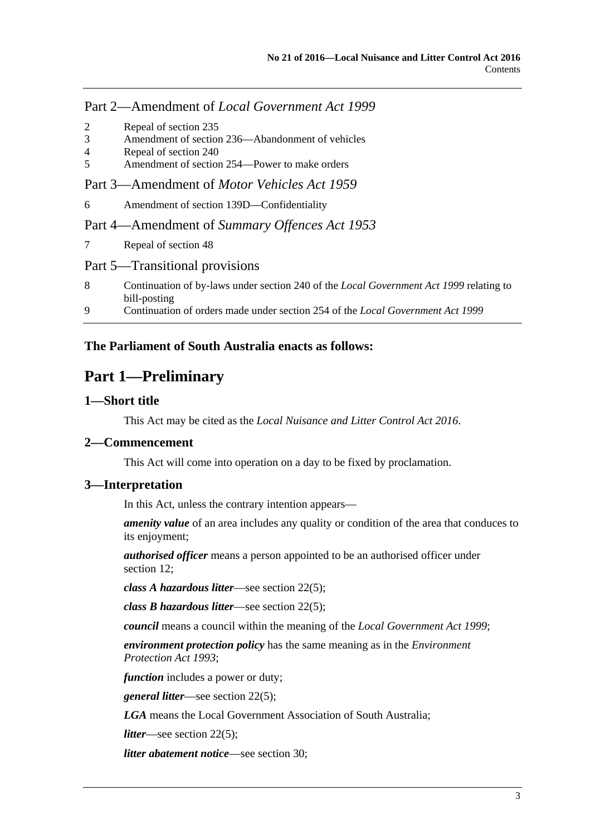## Part 2—Amendment of *Local Government Act 1999*

- 2 [Repeal of section 235](#page-39-2)
- 3 [Amendment of section 236—Abandonment of vehicles](#page-39-3)
- 4 [Repeal of section 240](#page-39-4)
- 5 [Amendment of section 254—Power to make orders](#page-39-5)

Part 3—Amendment of *Motor Vehicles Act 1959*

6 [Amendment of section 139D—Confidentiality](#page-39-6)

Part 4—Amendment of *Summary Offences Act 1953*

7 [Repeal of section 48](#page-39-7)

### Part 5—Transitional provisions

- 8 [Continuation of by-laws under section 240 of the](#page-40-0) *Local Government Act 1999* relating to [bill-posting](#page-40-0)
- 9 [Continuation of orders made under section 254 of the](#page-40-1) *Local Government Act 1999*

## <span id="page-2-0"></span>**The Parliament of South Australia enacts as follows:**

## **Part 1—Preliminary**

### <span id="page-2-1"></span>**1—Short title**

This Act may be cited as the *Local Nuisance and Litter Control Act 2016*.

## <span id="page-2-2"></span>**2—Commencement**

This Act will come into operation on a day to be fixed by proclamation.

### <span id="page-2-3"></span>**3—Interpretation**

In this Act, unless the contrary intention appears—

*amenity value* of an area includes any quality or condition of the area that conduces to its enjoyment;

*authorised officer* means a person appointed to be an authorised officer under [section](#page-6-2) 12:

*class A hazardous litter*—see [section](#page-15-0) 22(5);

*class B hazardous litter*—see [section](#page-15-0) 22(5);

*council* means a council within the meaning of the *[Local Government Act](http://www.legislation.sa.gov.au/index.aspx?action=legref&type=act&legtitle=Local%20Government%20Act%201999) 1999*;

*environment protection policy* has the same meaning as in the *[Environment](http://www.legislation.sa.gov.au/index.aspx?action=legref&type=act&legtitle=Environment%20Protection%20Act%201993)  [Protection Act](http://www.legislation.sa.gov.au/index.aspx?action=legref&type=act&legtitle=Environment%20Protection%20Act%201993) 1993*;

*function* includes a power or duty;

*general litter*—see [section](#page-15-0) 22(5);

*LGA* means the Local Government Association of South Australia;

*litter*—see [section](#page-15-0) 22(5);

*litter abatement notice*—see [section](#page-21-1) 30;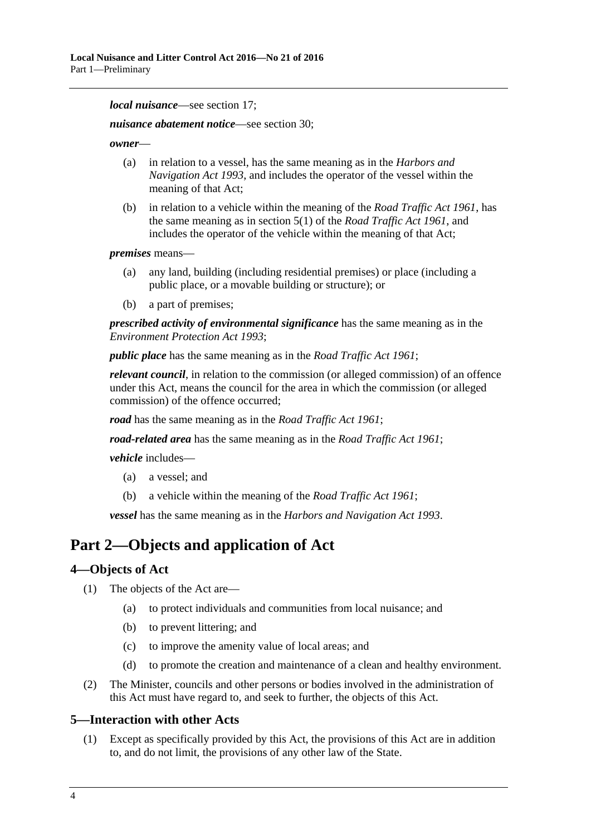*local nuisance*—see [section](#page-11-2) 17;

*nuisance abatement notice*—see [section](#page-21-1) 30;

*owner*—

- (a) in relation to a vessel, has the same meaning as in the *[Harbors and](http://www.legislation.sa.gov.au/index.aspx?action=legref&type=act&legtitle=Harbors%20and%20Navigation%20Act%201993)  [Navigation Act](http://www.legislation.sa.gov.au/index.aspx?action=legref&type=act&legtitle=Harbors%20and%20Navigation%20Act%201993) 1993*, and includes the operator of the vessel within the meaning of that Act;
- (b) in relation to a vehicle within the meaning of the *[Road Traffic Act](http://www.legislation.sa.gov.au/index.aspx?action=legref&type=act&legtitle=Road%20Traffic%20Act%201961) 1961*, has the same meaning as in section 5(1) of the *[Road Traffic Act](http://www.legislation.sa.gov.au/index.aspx?action=legref&type=act&legtitle=Road%20Traffic%20Act%201961) 1961*, and includes the operator of the vehicle within the meaning of that Act;

*premises* means—

- (a) any land, building (including residential premises) or place (including a public place, or a movable building or structure); or
- (b) a part of premises;

*prescribed activity of environmental significance* has the same meaning as in the *[Environment Protection Act](http://www.legislation.sa.gov.au/index.aspx?action=legref&type=act&legtitle=Environment%20Protection%20Act%201993) 1993*;

*public place* has the same meaning as in the *[Road Traffic Act](http://www.legislation.sa.gov.au/index.aspx?action=legref&type=act&legtitle=Road%20Traffic%20Act%201961) 1961*;

*relevant council*, in relation to the commission (or alleged commission) of an offence under this Act, means the council for the area in which the commission (or alleged commission) of the offence occurred;

*road* has the same meaning as in the *[Road Traffic Act](http://www.legislation.sa.gov.au/index.aspx?action=legref&type=act&legtitle=Road%20Traffic%20Act%201961) 1961*;

*road-related area* has the same meaning as in the *[Road Traffic Act](http://www.legislation.sa.gov.au/index.aspx?action=legref&type=act&legtitle=Road%20Traffic%20Act%201961) 1961*;

*vehicle* includes—

- (a) a vessel; and
- (b) a vehicle within the meaning of the *[Road Traffic Act](http://www.legislation.sa.gov.au/index.aspx?action=legref&type=act&legtitle=Road%20Traffic%20Act%201961) 1961*;

*vessel* has the same meaning as in the *[Harbors and Navigation Act](http://www.legislation.sa.gov.au/index.aspx?action=legref&type=act&legtitle=Harbors%20and%20Navigation%20Act%201993) 1993*.

## <span id="page-3-0"></span>**Part 2—Objects and application of Act**

### <span id="page-3-1"></span>**4—Objects of Act**

- (1) The objects of the Act are—
	- (a) to protect individuals and communities from local nuisance; and
	- (b) to prevent littering; and
	- (c) to improve the amenity value of local areas; and
	- (d) to promote the creation and maintenance of a clean and healthy environment.
- (2) The Minister, councils and other persons or bodies involved in the administration of this Act must have regard to, and seek to further, the objects of this Act.

#### <span id="page-3-3"></span><span id="page-3-2"></span>**5—Interaction with other Acts**

(1) Except as specifically provided by this Act, the provisions of this Act are in addition to, and do not limit, the provisions of any other law of the State.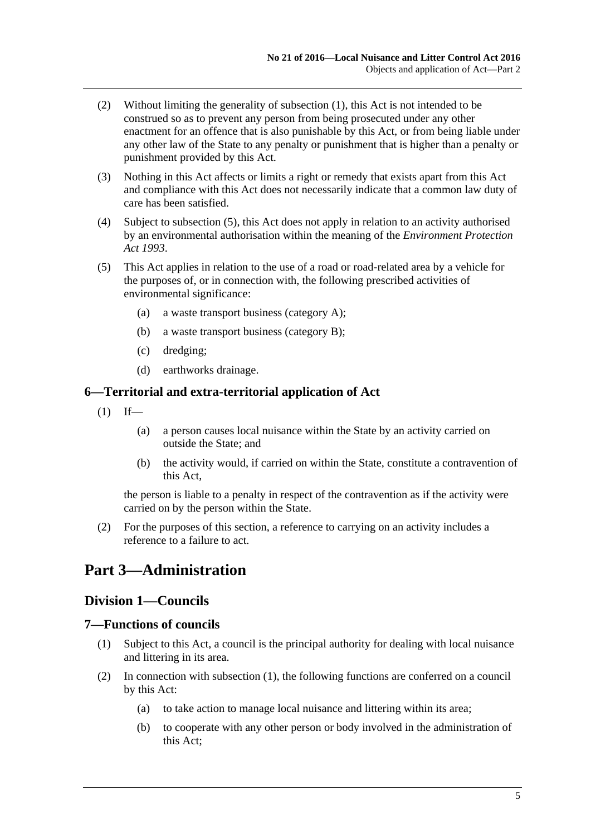- (2) Without limiting the generality of [subsection](#page-3-3) (1), this Act is not intended to be construed so as to prevent any person from being prosecuted under any other enactment for an offence that is also punishable by this Act, or from being liable under any other law of the State to any penalty or punishment that is higher than a penalty or punishment provided by this Act.
- (3) Nothing in this Act affects or limits a right or remedy that exists apart from this Act and compliance with this Act does not necessarily indicate that a common law duty of care has been satisfied.
- (4) Subject to [subsection](#page-4-4) (5), this Act does not apply in relation to an activity authorised by an environmental authorisation within the meaning of the *[Environment Protection](http://www.legislation.sa.gov.au/index.aspx?action=legref&type=act&legtitle=Environment%20Protection%20Act%201993)  Act [1993](http://www.legislation.sa.gov.au/index.aspx?action=legref&type=act&legtitle=Environment%20Protection%20Act%201993)*.
- <span id="page-4-4"></span>(5) This Act applies in relation to the use of a road or road-related area by a vehicle for the purposes of, or in connection with, the following prescribed activities of environmental significance:
	- (a) a waste transport business (category A);
	- (b) a waste transport business (category B);
	- (c) dredging;
	- (d) earthworks drainage.

### <span id="page-4-0"></span>**6—Territorial and extra-territorial application of Act**

- $(1)$  If—
	- (a) a person causes local nuisance within the State by an activity carried on outside the State; and
	- (b) the activity would, if carried on within the State, constitute a contravention of this Act,

the person is liable to a penalty in respect of the contravention as if the activity were carried on by the person within the State.

(2) For the purposes of this section, a reference to carrying on an activity includes a reference to a failure to act.

## <span id="page-4-2"></span><span id="page-4-1"></span>**Part 3—Administration**

## **Division 1—Councils**

### <span id="page-4-5"></span><span id="page-4-3"></span>**7—Functions of councils**

- (1) Subject to this Act, a council is the principal authority for dealing with local nuisance and littering in its area.
- (2) In connection with [subsection](#page-4-5) (1), the following functions are conferred on a council by this Act:
	- (a) to take action to manage local nuisance and littering within its area;
	- (b) to cooperate with any other person or body involved in the administration of this Act;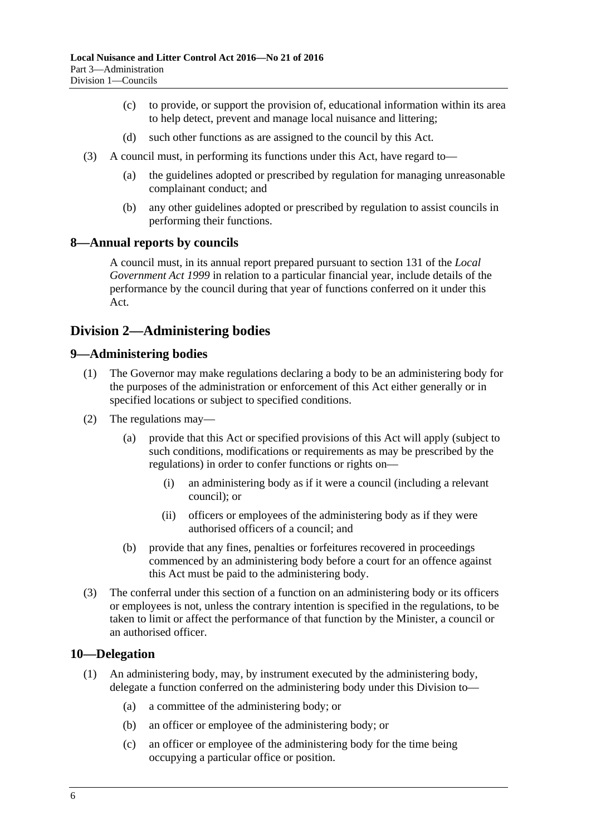- (c) to provide, or support the provision of, educational information within its area to help detect, prevent and manage local nuisance and littering;
- (d) such other functions as are assigned to the council by this Act.
- (3) A council must, in performing its functions under this Act, have regard to—
	- (a) the guidelines adopted or prescribed by regulation for managing unreasonable complainant conduct; and
	- (b) any other guidelines adopted or prescribed by regulation to assist councils in performing their functions.

### <span id="page-5-0"></span>**8—Annual reports by councils**

A council must, in its annual report prepared pursuant to section 131 of the *[Local](http://www.legislation.sa.gov.au/index.aspx?action=legref&type=act&legtitle=Local%20Government%20Act%201999)  [Government Act](http://www.legislation.sa.gov.au/index.aspx?action=legref&type=act&legtitle=Local%20Government%20Act%201999) 1999* in relation to a particular financial year, include details of the performance by the council during that year of functions conferred on it under this Act.

## <span id="page-5-1"></span>**Division 2—Administering bodies**

### <span id="page-5-2"></span>**9—Administering bodies**

- (1) The Governor may make regulations declaring a body to be an administering body for the purposes of the administration or enforcement of this Act either generally or in specified locations or subject to specified conditions.
- (2) The regulations may—
	- (a) provide that this Act or specified provisions of this Act will apply (subject to such conditions, modifications or requirements as may be prescribed by the regulations) in order to confer functions or rights on—
		- (i) an administering body as if it were a council (including a relevant council); or
		- (ii) officers or employees of the administering body as if they were authorised officers of a council; and
	- (b) provide that any fines, penalties or forfeitures recovered in proceedings commenced by an administering body before a court for an offence against this Act must be paid to the administering body.
- (3) The conferral under this section of a function on an administering body or its officers or employees is not, unless the contrary intention is specified in the regulations, to be taken to limit or affect the performance of that function by the Minister, a council or an authorised officer.

#### <span id="page-5-3"></span>**10—Delegation**

- (1) An administering body, may, by instrument executed by the administering body, delegate a function conferred on the administering body under this Division to—
	- (a) a committee of the administering body; or
	- (b) an officer or employee of the administering body; or
	- (c) an officer or employee of the administering body for the time being occupying a particular office or position.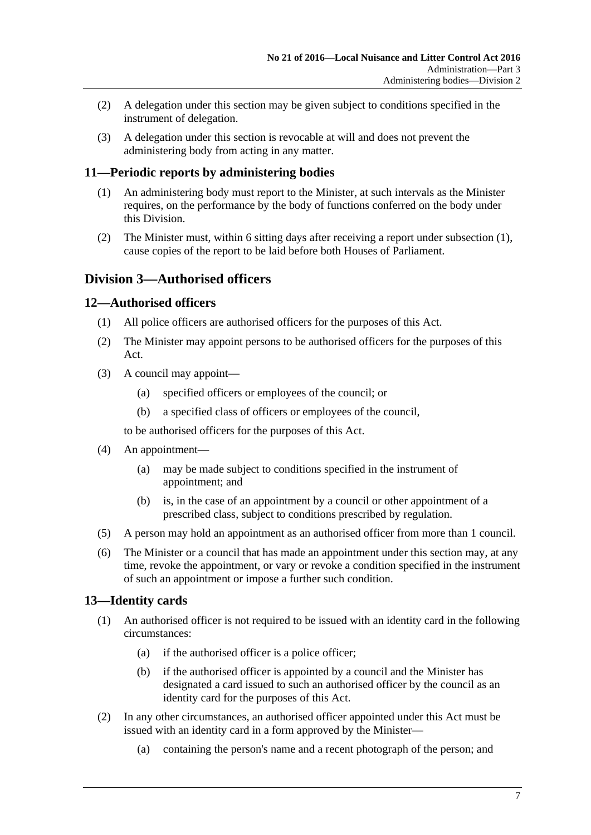- (2) A delegation under this section may be given subject to conditions specified in the instrument of delegation.
- (3) A delegation under this section is revocable at will and does not prevent the administering body from acting in any matter.

## <span id="page-6-4"></span><span id="page-6-0"></span>**11—Periodic reports by administering bodies**

- (1) An administering body must report to the Minister, at such intervals as the Minister requires, on the performance by the body of functions conferred on the body under this Division.
- (2) The Minister must, within 6 sitting days after receiving a report under [subsection](#page-6-4) (1), cause copies of the report to be laid before both Houses of Parliament.

## <span id="page-6-1"></span>**Division 3—Authorised officers**

## <span id="page-6-2"></span>**12—Authorised officers**

- (1) All police officers are authorised officers for the purposes of this Act.
- (2) The Minister may appoint persons to be authorised officers for the purposes of this Act.
- (3) A council may appoint—
	- (a) specified officers or employees of the council; or
	- (b) a specified class of officers or employees of the council,

to be authorised officers for the purposes of this Act.

- (4) An appointment—
	- (a) may be made subject to conditions specified in the instrument of appointment; and
	- (b) is, in the case of an appointment by a council or other appointment of a prescribed class, subject to conditions prescribed by regulation.
- (5) A person may hold an appointment as an authorised officer from more than 1 council.
- (6) The Minister or a council that has made an appointment under this section may, at any time, revoke the appointment, or vary or revoke a condition specified in the instrument of such an appointment or impose a further such condition.

## <span id="page-6-3"></span>**13—Identity cards**

- (1) An authorised officer is not required to be issued with an identity card in the following circumstances:
	- (a) if the authorised officer is a police officer;
	- (b) if the authorised officer is appointed by a council and the Minister has designated a card issued to such an authorised officer by the council as an identity card for the purposes of this Act.
- (2) In any other circumstances, an authorised officer appointed under this Act must be issued with an identity card in a form approved by the Minister—
	- (a) containing the person's name and a recent photograph of the person; and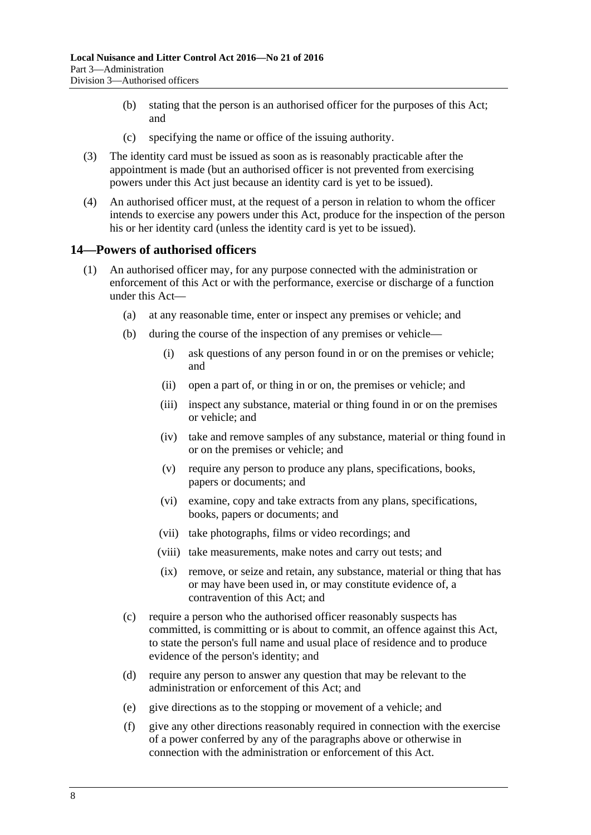- (b) stating that the person is an authorised officer for the purposes of this Act; and
- (c) specifying the name or office of the issuing authority.
- (3) The identity card must be issued as soon as is reasonably practicable after the appointment is made (but an authorised officer is not prevented from exercising powers under this Act just because an identity card is yet to be issued).
- (4) An authorised officer must, at the request of a person in relation to whom the officer intends to exercise any powers under this Act, produce for the inspection of the person his or her identity card (unless the identity card is yet to be issued).

### <span id="page-7-0"></span>**14—Powers of authorised officers**

- (1) An authorised officer may, for any purpose connected with the administration or enforcement of this Act or with the performance, exercise or discharge of a function under this Act—
	- (a) at any reasonable time, enter or inspect any premises or vehicle; and
	- (b) during the course of the inspection of any premises or vehicle—
		- (i) ask questions of any person found in or on the premises or vehicle; and
		- (ii) open a part of, or thing in or on, the premises or vehicle; and
		- (iii) inspect any substance, material or thing found in or on the premises or vehicle; and
		- (iv) take and remove samples of any substance, material or thing found in or on the premises or vehicle; and
		- (v) require any person to produce any plans, specifications, books, papers or documents; and
		- (vi) examine, copy and take extracts from any plans, specifications, books, papers or documents; and
		- (vii) take photographs, films or video recordings; and
		- (viii) take measurements, make notes and carry out tests; and
		- (ix) remove, or seize and retain, any substance, material or thing that has or may have been used in, or may constitute evidence of, a contravention of this Act; and
	- (c) require a person who the authorised officer reasonably suspects has committed, is committing or is about to commit, an offence against this Act, to state the person's full name and usual place of residence and to produce evidence of the person's identity; and
	- (d) require any person to answer any question that may be relevant to the administration or enforcement of this Act; and
	- (e) give directions as to the stopping or movement of a vehicle; and
	- (f) give any other directions reasonably required in connection with the exercise of a power conferred by any of the paragraphs above or otherwise in connection with the administration or enforcement of this Act.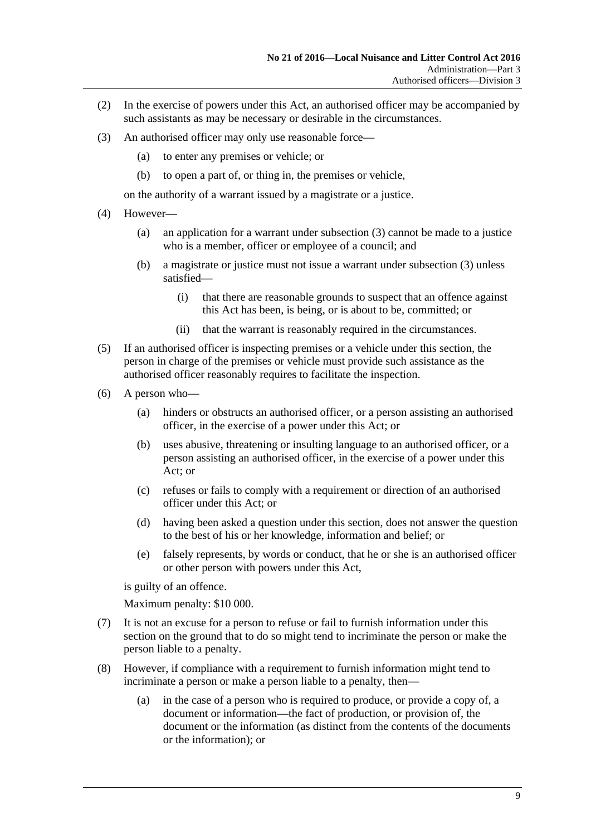- (2) In the exercise of powers under this Act, an authorised officer may be accompanied by such assistants as may be necessary or desirable in the circumstances.
- <span id="page-8-0"></span>(3) An authorised officer may only use reasonable force—
	- (a) to enter any premises or vehicle; or
	- (b) to open a part of, or thing in, the premises or vehicle,

on the authority of a warrant issued by a magistrate or a justice.

- (4) However—
	- (a) an application for a warrant under [subsection](#page-8-0) (3) cannot be made to a justice who is a member, officer or employee of a council; and
	- (b) a magistrate or justice must not issue a warrant under [subsection](#page-8-0) (3) unless satisfied—
		- (i) that there are reasonable grounds to suspect that an offence against this Act has been, is being, or is about to be, committed; or
		- (ii) that the warrant is reasonably required in the circumstances.
- (5) If an authorised officer is inspecting premises or a vehicle under this section, the person in charge of the premises or vehicle must provide such assistance as the authorised officer reasonably requires to facilitate the inspection.
- (6) A person who—
	- (a) hinders or obstructs an authorised officer, or a person assisting an authorised officer, in the exercise of a power under this Act; or
	- (b) uses abusive, threatening or insulting language to an authorised officer, or a person assisting an authorised officer, in the exercise of a power under this Act; or
	- (c) refuses or fails to comply with a requirement or direction of an authorised officer under this Act; or
	- (d) having been asked a question under this section, does not answer the question to the best of his or her knowledge, information and belief; or
	- (e) falsely represents, by words or conduct, that he or she is an authorised officer or other person with powers under this Act,

is guilty of an offence.

Maximum penalty: \$10 000.

- (7) It is not an excuse for a person to refuse or fail to furnish information under this section on the ground that to do so might tend to incriminate the person or make the person liable to a penalty.
- (8) However, if compliance with a requirement to furnish information might tend to incriminate a person or make a person liable to a penalty, then—
	- (a) in the case of a person who is required to produce, or provide a copy of, a document or information—the fact of production, or provision of, the document or the information (as distinct from the contents of the documents or the information); or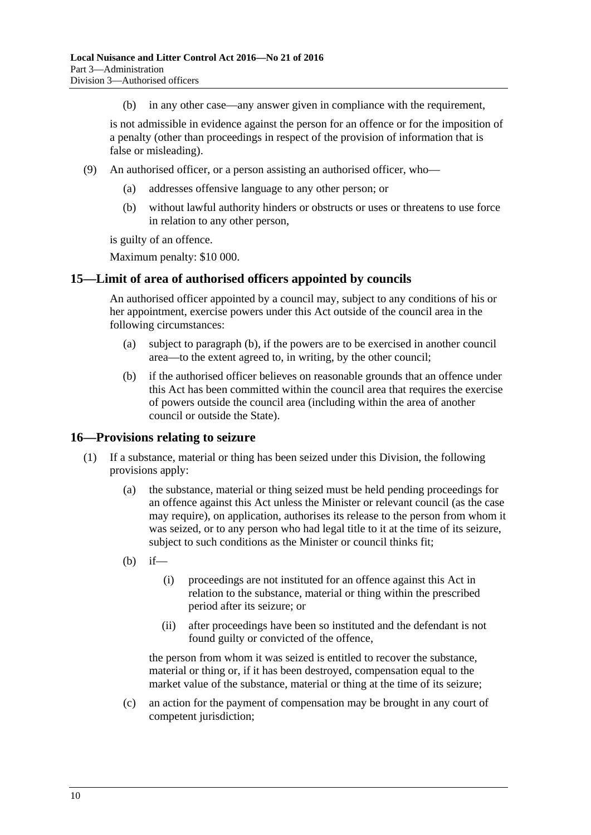(b) in any other case—any answer given in compliance with the requirement,

is not admissible in evidence against the person for an offence or for the imposition of a penalty (other than proceedings in respect of the provision of information that is false or misleading).

- (9) An authorised officer, or a person assisting an authorised officer, who
	- addresses offensive language to any other person; or
	- (b) without lawful authority hinders or obstructs or uses or threatens to use force in relation to any other person,

is guilty of an offence.

Maximum penalty: \$10 000.

### <span id="page-9-0"></span>**15—Limit of area of authorised officers appointed by councils**

An authorised officer appointed by a council may, subject to any conditions of his or her appointment, exercise powers under this Act outside of the council area in the following circumstances:

- (a) subject to [paragraph](#page-9-2) (b), if the powers are to be exercised in another council area—to the extent agreed to, in writing, by the other council;
- <span id="page-9-2"></span>(b) if the authorised officer believes on reasonable grounds that an offence under this Act has been committed within the council area that requires the exercise of powers outside the council area (including within the area of another council or outside the State).

### <span id="page-9-1"></span>**16—Provisions relating to seizure**

- <span id="page-9-3"></span>(1) If a substance, material or thing has been seized under this Division, the following provisions apply:
	- (a) the substance, material or thing seized must be held pending proceedings for an offence against this Act unless the Minister or relevant council (as the case may require), on application, authorises its release to the person from whom it was seized, or to any person who had legal title to it at the time of its seizure, subject to such conditions as the Minister or council thinks fit;
	- (b) if—
		- (i) proceedings are not instituted for an offence against this Act in relation to the substance, material or thing within the prescribed period after its seizure; or
		- (ii) after proceedings have been so instituted and the defendant is not found guilty or convicted of the offence,

the person from whom it was seized is entitled to recover the substance, material or thing or, if it has been destroyed, compensation equal to the market value of the substance, material or thing at the time of its seizure;

(c) an action for the payment of compensation may be brought in any court of competent jurisdiction;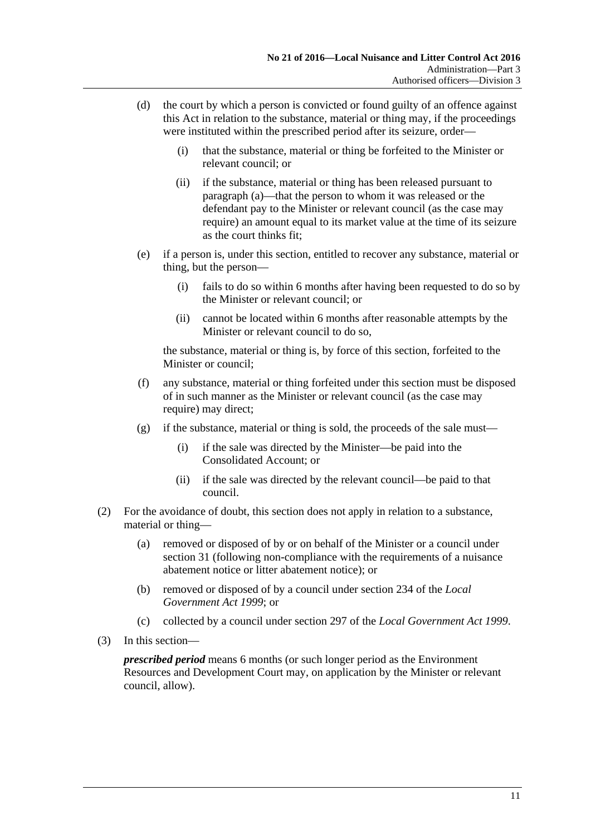- (d) the court by which a person is convicted or found guilty of an offence against this Act in relation to the substance, material or thing may, if the proceedings were instituted within the prescribed period after its seizure, order—
	- (i) that the substance, material or thing be forfeited to the Minister or relevant council; or
	- (ii) if the substance, material or thing has been released pursuant to [paragraph](#page-9-3) (a)—that the person to whom it was released or the defendant pay to the Minister or relevant council (as the case may require) an amount equal to its market value at the time of its seizure as the court thinks fit;
- (e) if a person is, under this section, entitled to recover any substance, material or thing, but the person—
	- (i) fails to do so within 6 months after having been requested to do so by the Minister or relevant council; or
	- (ii) cannot be located within 6 months after reasonable attempts by the Minister or relevant council to do so,

the substance, material or thing is, by force of this section, forfeited to the Minister or council;

- (f) any substance, material or thing forfeited under this section must be disposed of in such manner as the Minister or relevant council (as the case may require) may direct:
- (g) if the substance, material or thing is sold, the proceeds of the sale must—
	- (i) if the sale was directed by the Minister—be paid into the Consolidated Account; or
	- (ii) if the sale was directed by the relevant council—be paid to that council.
- (2) For the avoidance of doubt, this section does not apply in relation to a substance, material or thing—
	- (a) removed or disposed of by or on behalf of the Minister or a council under [section](#page-23-0) 31 (following non-compliance with the requirements of a nuisance abatement notice or litter abatement notice); or
	- (b) removed or disposed of by a council under section 234 of the *[Local](http://www.legislation.sa.gov.au/index.aspx?action=legref&type=act&legtitle=Local%20Government%20Act%201999)  [Government Act](http://www.legislation.sa.gov.au/index.aspx?action=legref&type=act&legtitle=Local%20Government%20Act%201999) 1999*; or
	- (c) collected by a council under section 297 of the *[Local Government Act](http://www.legislation.sa.gov.au/index.aspx?action=legref&type=act&legtitle=Local%20Government%20Act%201999) 1999*.
- (3) In this section—

*prescribed period* means 6 months (or such longer period as the Environment Resources and Development Court may, on application by the Minister or relevant council, allow).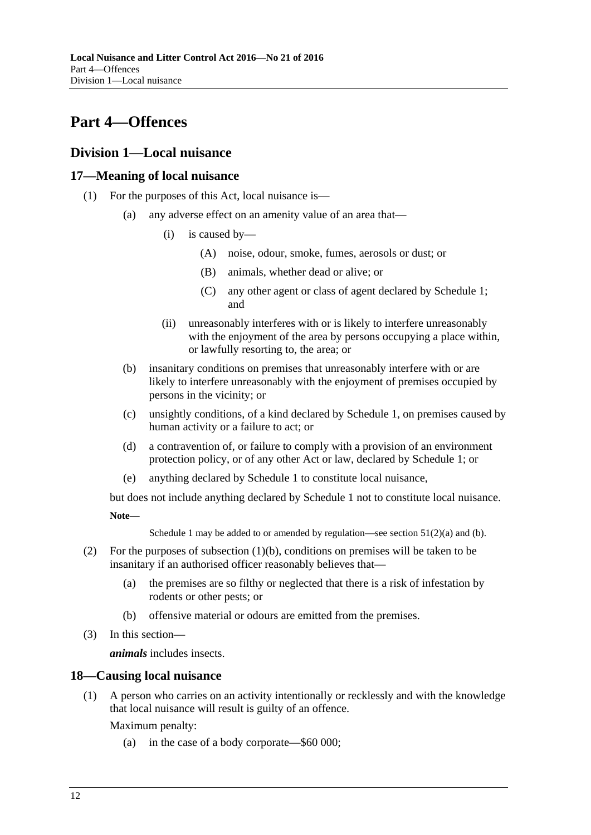## <span id="page-11-0"></span>**Part 4—Offences**

## <span id="page-11-1"></span>**Division 1—Local nuisance**

## <span id="page-11-6"></span><span id="page-11-2"></span>**17—Meaning of local nuisance**

- <span id="page-11-5"></span>(1) For the purposes of this Act, local nuisance is—
	- (a) any adverse effect on an amenity value of an area that—
		- (i) is caused by—
			- (A) noise, odour, smoke, fumes, aerosols or dust; or
			- (B) animals, whether dead or alive; or
			- (C) any other agent or class of agent declared by [Schedule](#page-38-0) 1; and
		- (ii) unreasonably interferes with or is likely to interfere unreasonably with the enjoyment of the area by persons occupying a place within, or lawfully resorting to, the area; or
	- (b) insanitary conditions on premises that unreasonably interfere with or are likely to interfere unreasonably with the enjoyment of premises occupied by persons in the vicinity; or
	- (c) unsightly conditions, of a kind declared by [Schedule](#page-38-0) 1, on premises caused by human activity or a failure to act; or
	- (d) a contravention of, or failure to comply with a provision of an environment protection policy, or of any other Act or law, declared by [Schedule](#page-38-0) 1; or
	- (e) anything declared by [Schedule](#page-38-0) 1 to constitute local nuisance,

<span id="page-11-4"></span>but does not include anything declared by [Schedule](#page-38-0) 1 not to constitute local nuisance.

**Note—**

[Schedule](#page-38-0) 1 may be added to or amended by regulation—see section  $51(2)(a)$  and [\(b\).](#page-36-2)

- (2) For the purposes of [subsection](#page-11-4) (1)(b), conditions on premises will be taken to be insanitary if an authorised officer reasonably believes that—
	- (a) the premises are so filthy or neglected that there is a risk of infestation by rodents or other pests; or
	- (b) offensive material or odours are emitted from the premises.
- (3) In this section—

*animals* includes insects.

## <span id="page-11-3"></span>**18—Causing local nuisance**

(1) A person who carries on an activity intentionally or recklessly and with the knowledge that local nuisance will result is guilty of an offence.

Maximum penalty:

(a) in the case of a body corporate—\$60 000;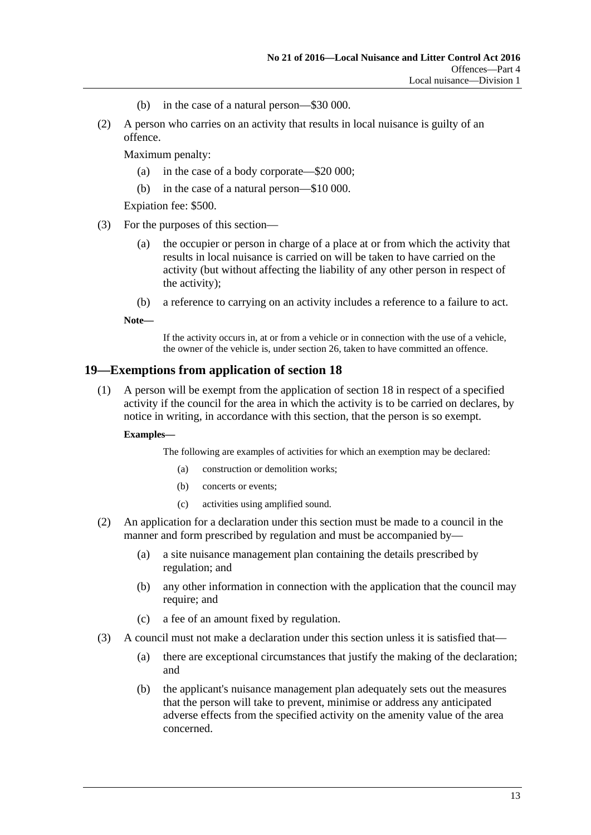- (b) in the case of a natural person—\$30 000.
- (2) A person who carries on an activity that results in local nuisance is guilty of an offence.

Maximum penalty:

- (a) in the case of a body corporate—\$20 000;
- (b) in the case of a natural person—\$10 000.

Expiation fee: \$500.

- (3) For the purposes of this section—
	- (a) the occupier or person in charge of a place at or from which the activity that results in local nuisance is carried on will be taken to have carried on the activity (but without affecting the liability of any other person in respect of the activity);
	- (b) a reference to carrying on an activity includes a reference to a failure to act.

**Note—**

If the activity occurs in, at or from a vehicle or in connection with the use of a vehicle, the owner of the vehicle is, unde[r section](#page-17-3) 26, taken to have committed an offence.

### <span id="page-12-0"></span>**19—Exemptions from application of [section](#page-11-3) 18**

(1) A person will be exempt from the application of [section](#page-11-3) 18 in respect of a specified activity if the council for the area in which the activity is to be carried on declares, by notice in writing, in accordance with this section, that the person is so exempt.

#### **Examples—**

The following are examples of activities for which an exemption may be declared:

- (a) construction or demolition works;
- (b) concerts or events;
- (c) activities using amplified sound.
- (2) An application for a declaration under this section must be made to a council in the manner and form prescribed by regulation and must be accompanied by—
	- (a) a site nuisance management plan containing the details prescribed by regulation; and
	- (b) any other information in connection with the application that the council may require; and
	- (c) a fee of an amount fixed by regulation.
- (3) A council must not make a declaration under this section unless it is satisfied that—
	- (a) there are exceptional circumstances that justify the making of the declaration; and
	- (b) the applicant's nuisance management plan adequately sets out the measures that the person will take to prevent, minimise or address any anticipated adverse effects from the specified activity on the amenity value of the area concerned.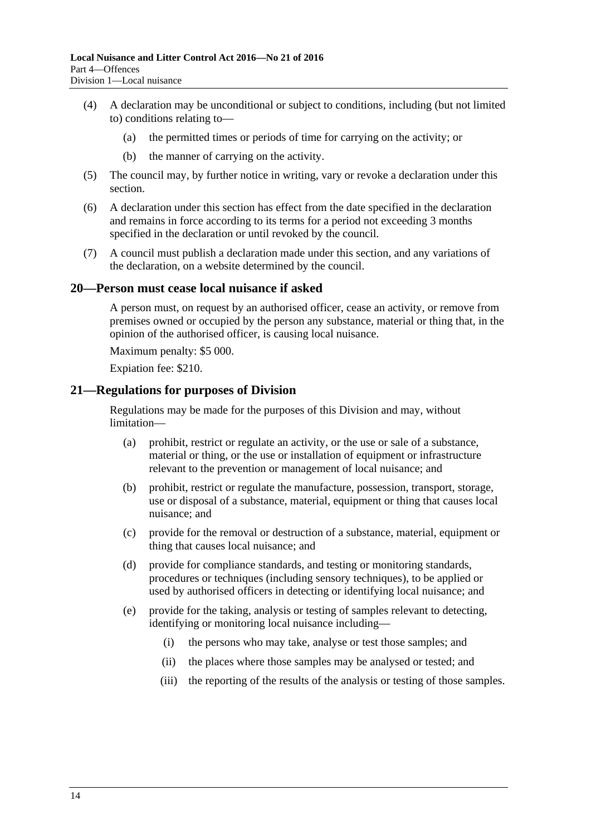- (4) A declaration may be unconditional or subject to conditions, including (but not limited to) conditions relating to—
	- (a) the permitted times or periods of time for carrying on the activity; or
	- (b) the manner of carrying on the activity.
- (5) The council may, by further notice in writing, vary or revoke a declaration under this section.
- (6) A declaration under this section has effect from the date specified in the declaration and remains in force according to its terms for a period not exceeding 3 months specified in the declaration or until revoked by the council.
- (7) A council must publish a declaration made under this section, and any variations of the declaration, on a website determined by the council.

### <span id="page-13-0"></span>**20—Person must cease local nuisance if asked**

A person must, on request by an authorised officer, cease an activity, or remove from premises owned or occupied by the person any substance, material or thing that, in the opinion of the authorised officer, is causing local nuisance.

Maximum penalty: \$5 000.

Expiation fee: \$210.

## <span id="page-13-1"></span>**21—Regulations for purposes of Division**

Regulations may be made for the purposes of this Division and may, without limitation—

- (a) prohibit, restrict or regulate an activity, or the use or sale of a substance, material or thing, or the use or installation of equipment or infrastructure relevant to the prevention or management of local nuisance; and
- (b) prohibit, restrict or regulate the manufacture, possession, transport, storage, use or disposal of a substance, material, equipment or thing that causes local nuisance; and
- (c) provide for the removal or destruction of a substance, material, equipment or thing that causes local nuisance; and
- (d) provide for compliance standards, and testing or monitoring standards, procedures or techniques (including sensory techniques), to be applied or used by authorised officers in detecting or identifying local nuisance; and
- (e) provide for the taking, analysis or testing of samples relevant to detecting, identifying or monitoring local nuisance including—
	- (i) the persons who may take, analyse or test those samples; and
	- (ii) the places where those samples may be analysed or tested; and
	- (iii) the reporting of the results of the analysis or testing of those samples.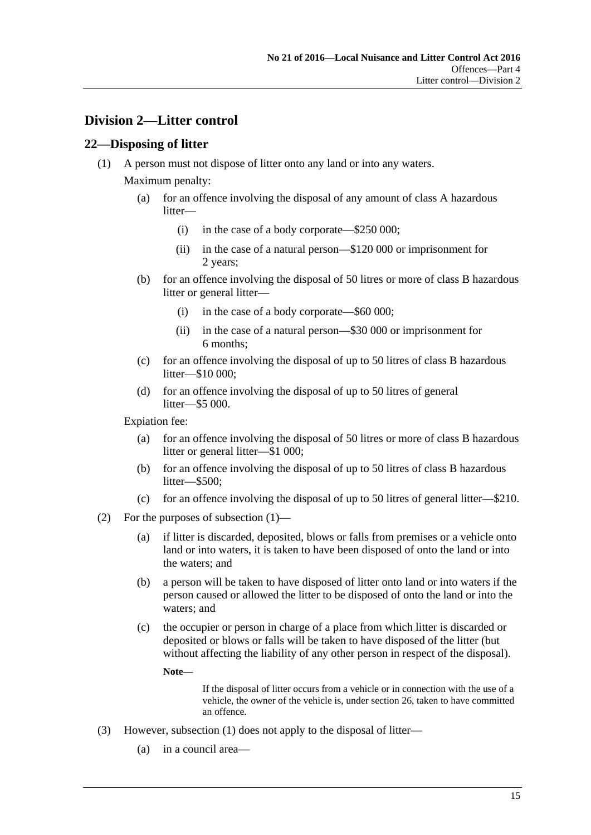## <span id="page-14-0"></span>**Division 2—Litter control**

## <span id="page-14-2"></span><span id="page-14-1"></span>**22—Disposing of litter**

(1) A person must not dispose of litter onto any land or into any waters.

Maximum penalty:

- (a) for an offence involving the disposal of any amount of class A hazardous litter—
	- (i) in the case of a body corporate—\$250 000;
	- (ii) in the case of a natural person—\$120 000 or imprisonment for 2 years;
- (b) for an offence involving the disposal of 50 litres or more of class B hazardous litter or general litter—
	- (i) in the case of a body corporate—\$60 000;
	- (ii) in the case of a natural person—\$30 000 or imprisonment for 6 months;
- (c) for an offence involving the disposal of up to 50 litres of class B hazardous litter—\$10 000;
- (d) for an offence involving the disposal of up to 50 litres of general litter—\$5 000.

Expiation fee:

- (a) for an offence involving the disposal of 50 litres or more of class B hazardous litter or general litter—\$1 000;
- (b) for an offence involving the disposal of up to 50 litres of class B hazardous litter—\$500;
- (c) for an offence involving the disposal of up to 50 litres of general litter—\$210.
- (2) For the purposes of [subsection](#page-14-2) (1)—
	- (a) if litter is discarded, deposited, blows or falls from premises or a vehicle onto land or into waters, it is taken to have been disposed of onto the land or into the waters; and
	- (b) a person will be taken to have disposed of litter onto land or into waters if the person caused or allowed the litter to be disposed of onto the land or into the waters; and
	- (c) the occupier or person in charge of a place from which litter is discarded or deposited or blows or falls will be taken to have disposed of the litter (but without affecting the liability of any other person in respect of the disposal).

**Note—**

If the disposal of litter occurs from a vehicle or in connection with the use of a vehicle, the owner of the vehicle is, under [section](#page-17-3) 26, taken to have committed an offence.

- (3) However, [subsection](#page-14-2) (1) does not apply to the disposal of litter—
	- (a) in a council area—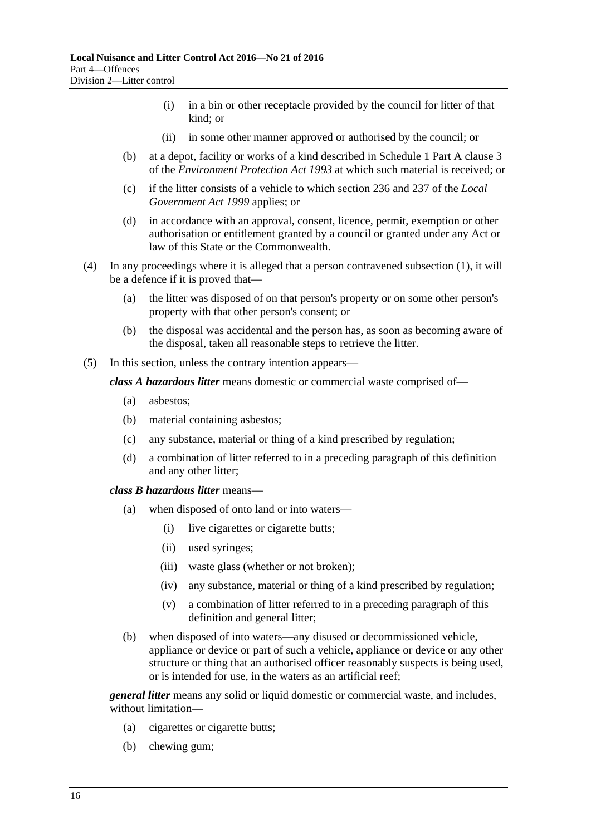- (i) in a bin or other receptacle provided by the council for litter of that kind; or
- (ii) in some other manner approved or authorised by the council; or
- (b) at a depot, facility or works of a kind described in Schedule 1 Part A clause 3 of the *[Environment Protection Act](http://www.legislation.sa.gov.au/index.aspx?action=legref&type=act&legtitle=Environment%20Protection%20Act%201993) 1993* at which such material is received; or
- (c) if the litter consists of a vehicle to which section 236 and 237 of the *[Local](http://www.legislation.sa.gov.au/index.aspx?action=legref&type=act&legtitle=Local%20Government%20Act%201999)  [Government Act](http://www.legislation.sa.gov.au/index.aspx?action=legref&type=act&legtitle=Local%20Government%20Act%201999) 1999* applies; or
- (d) in accordance with an approval, consent, licence, permit, exemption or other authorisation or entitlement granted by a council or granted under any Act or law of this State or the Commonwealth.
- (4) In any proceedings where it is alleged that a person contravened [subsection](#page-14-2) (1), it will be a defence if it is proved that—
	- (a) the litter was disposed of on that person's property or on some other person's property with that other person's consent; or
	- (b) the disposal was accidental and the person has, as soon as becoming aware of the disposal, taken all reasonable steps to retrieve the litter.
- <span id="page-15-0"></span>(5) In this section, unless the contrary intention appears—

*class A hazardous litter* means domestic or commercial waste comprised of—

- (a) asbestos;
- (b) material containing asbestos;
- (c) any substance, material or thing of a kind prescribed by regulation;
- (d) a combination of litter referred to in a preceding paragraph of this definition and any other litter;

*class B hazardous litter* means—

- (a) when disposed of onto land or into waters—
	- (i) live cigarettes or cigarette butts;
	- (ii) used syringes;
	- (iii) waste glass (whether or not broken);
	- (iv) any substance, material or thing of a kind prescribed by regulation;
	- (v) a combination of litter referred to in a preceding paragraph of this definition and general litter;
- (b) when disposed of into waters—any disused or decommissioned vehicle, appliance or device or part of such a vehicle, appliance or device or any other structure or thing that an authorised officer reasonably suspects is being used, or is intended for use, in the waters as an artificial reef;

*general litter* means any solid or liquid domestic or commercial waste, and includes, without limitation—

- (a) cigarettes or cigarette butts;
- (b) chewing gum;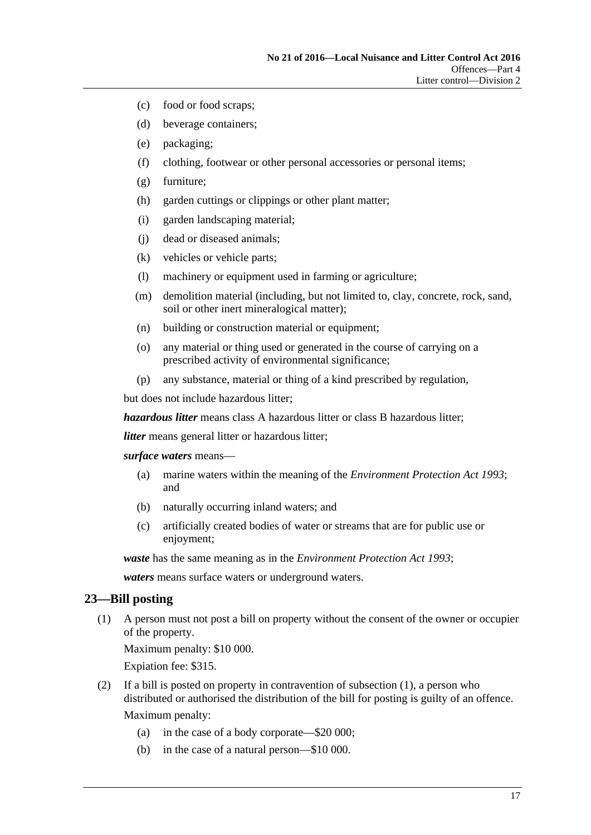- (c) food or food scraps;
- (d) beverage containers;
- (e) packaging;
- (f) clothing, footwear or other personal accessories or personal items;
- (g) furniture;
- (h) garden cuttings or clippings or other plant matter;
- (i) garden landscaping material;
- (j) dead or diseased animals;
- (k) vehicles or vehicle parts;
- (l) machinery or equipment used in farming or agriculture;
- (m) demolition material (including, but not limited to, clay, concrete, rock, sand, soil or other inert mineralogical matter);
- (n) building or construction material or equipment;
- (o) any material or thing used or generated in the course of carrying on a prescribed activity of environmental significance;
- (p) any substance, material or thing of a kind prescribed by regulation,

but does not include hazardous litter;

*hazardous litter* means class A hazardous litter or class B hazardous litter;

*litter* means general litter or hazardous litter;

*surface waters* means—

- (a) marine waters within the meaning of the *[Environment Protection Act](http://www.legislation.sa.gov.au/index.aspx?action=legref&type=act&legtitle=Environment%20Protection%20Act%201993) 1993*; and
- (b) naturally occurring inland waters; and
- (c) artificially created bodies of water or streams that are for public use or enjoyment;

*waste* has the same meaning as in the *[Environment Protection Act](http://www.legislation.sa.gov.au/index.aspx?action=legref&type=act&legtitle=Environment%20Protection%20Act%201993) 1993*;

*waters* means surface waters or underground waters.

#### <span id="page-16-1"></span><span id="page-16-0"></span>**23—Bill posting**

(1) A person must not post a bill on property without the consent of the owner or occupier of the property.

Maximum penalty: \$10 000.

Expiation fee: \$315.

- <span id="page-16-2"></span>(2) If a bill is posted on property in contravention of [subsection](#page-16-1) (1), a person who distributed or authorised the distribution of the bill for posting is guilty of an offence. Maximum penalty:
	- (a) in the case of a body corporate—\$20 000;
	- (b) in the case of a natural person—\$10 000.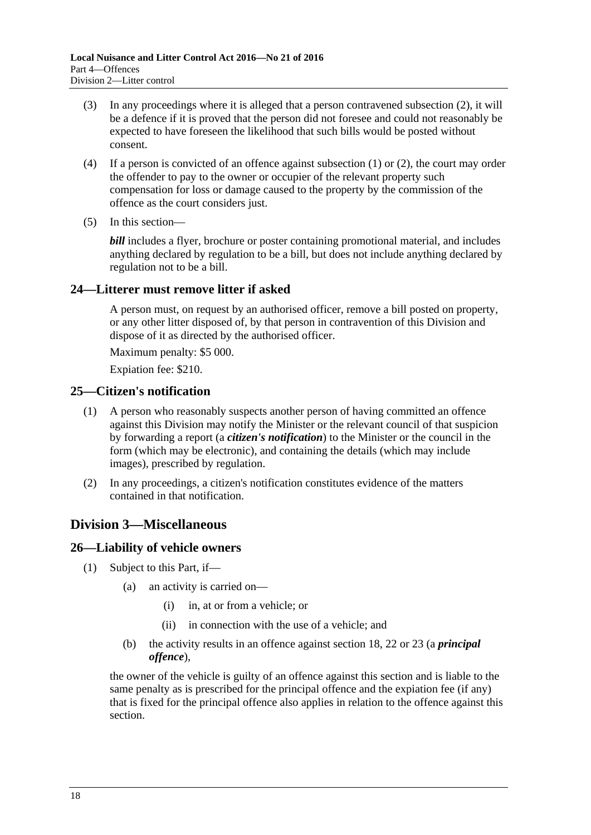- (3) In any proceedings where it is alleged that a person contravened [subsection](#page-16-2) (2), it will be a defence if it is proved that the person did not foresee and could not reasonably be expected to have foreseen the likelihood that such bills would be posted without consent.
- (4) If a person is convicted of an offence against [subsection](#page-16-1)  $(1)$  or  $(2)$ , the court may order the offender to pay to the owner or occupier of the relevant property such compensation for loss or damage caused to the property by the commission of the offence as the court considers just.
- (5) In this section—

*bill* includes a flyer, brochure or poster containing promotional material, and includes anything declared by regulation to be a bill, but does not include anything declared by regulation not to be a bill.

## <span id="page-17-0"></span>**24—Litterer must remove litter if asked**

A person must, on request by an authorised officer, remove a bill posted on property, or any other litter disposed of, by that person in contravention of this Division and dispose of it as directed by the authorised officer.

Maximum penalty: \$5 000.

Expiation fee: \$210.

## <span id="page-17-1"></span>**25—Citizen's notification**

- (1) A person who reasonably suspects another person of having committed an offence against this Division may notify the Minister or the relevant council of that suspicion by forwarding a report (a *citizen's notification*) to the Minister or the council in the form (which may be electronic), and containing the details (which may include images), prescribed by regulation.
- (2) In any proceedings, a citizen's notification constitutes evidence of the matters contained in that notification.

## <span id="page-17-2"></span>**Division 3—Miscellaneous**

## <span id="page-17-4"></span><span id="page-17-3"></span>**26—Liability of vehicle owners**

- (1) Subject to this Part, if—
	- (a) an activity is carried on—
		- (i) in, at or from a vehicle; or
		- (ii) in connection with the use of a vehicle; and
	- (b) the activity results in an offence against [section](#page-11-3) 18, [22](#page-14-1) or [23](#page-16-0) (a *principal offence*),

the owner of the vehicle is guilty of an offence against this section and is liable to the same penalty as is prescribed for the principal offence and the expiation fee (if any) that is fixed for the principal offence also applies in relation to the offence against this section.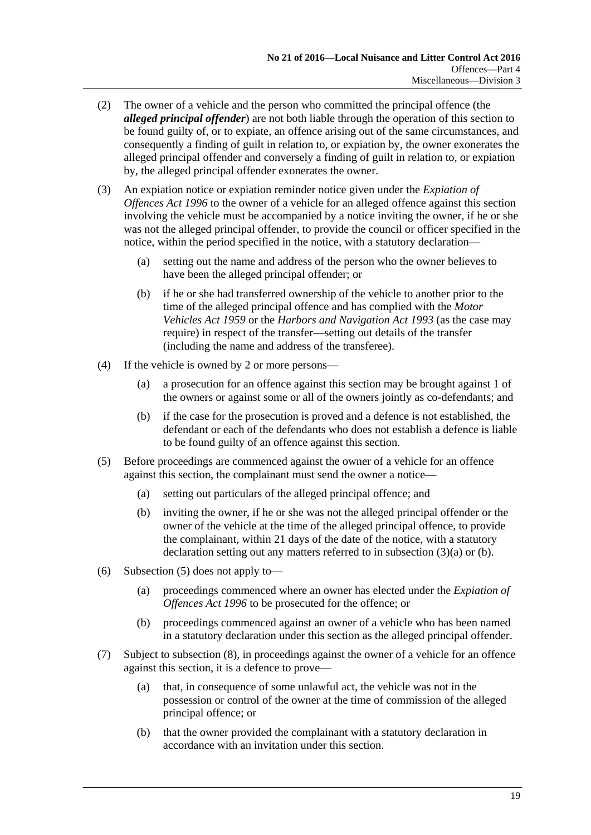- (2) The owner of a vehicle and the person who committed the principal offence (the *alleged principal offender*) are not both liable through the operation of this section to be found guilty of, or to expiate, an offence arising out of the same circumstances, and consequently a finding of guilt in relation to, or expiation by, the owner exonerates the alleged principal offender and conversely a finding of guilt in relation to, or expiation by, the alleged principal offender exonerates the owner.
- <span id="page-18-0"></span>(3) An expiation notice or expiation reminder notice given under the *[Expiation of](http://www.legislation.sa.gov.au/index.aspx?action=legref&type=act&legtitle=Expiation%20of%20Offences%20Act%201996)  [Offences Act](http://www.legislation.sa.gov.au/index.aspx?action=legref&type=act&legtitle=Expiation%20of%20Offences%20Act%201996) 1996* to the owner of a vehicle for an alleged offence against this section involving the vehicle must be accompanied by a notice inviting the owner, if he or she was not the alleged principal offender, to provide the council or officer specified in the notice, within the period specified in the notice, with a statutory declaration—
	- (a) setting out the name and address of the person who the owner believes to have been the alleged principal offender; or
	- (b) if he or she had transferred ownership of the vehicle to another prior to the time of the alleged principal offence and has complied with the *[Motor](http://www.legislation.sa.gov.au/index.aspx?action=legref&type=act&legtitle=Motor%20Vehicles%20Act%201959)  [Vehicles Act](http://www.legislation.sa.gov.au/index.aspx?action=legref&type=act&legtitle=Motor%20Vehicles%20Act%201959) 1959* or the *[Harbors and Navigation Act](http://www.legislation.sa.gov.au/index.aspx?action=legref&type=act&legtitle=Harbors%20and%20Navigation%20Act%201993) 1993* (as the case may require) in respect of the transfer—setting out details of the transfer (including the name and address of the transferee).
- <span id="page-18-1"></span>(4) If the vehicle is owned by 2 or more persons—
	- (a) a prosecution for an offence against this section may be brought against 1 of the owners or against some or all of the owners jointly as co-defendants; and
	- (b) if the case for the prosecution is proved and a defence is not established, the defendant or each of the defendants who does not establish a defence is liable to be found guilty of an offence against this section.
- <span id="page-18-2"></span>(5) Before proceedings are commenced against the owner of a vehicle for an offence against this section, the complainant must send the owner a notice—
	- (a) setting out particulars of the alleged principal offence; and
	- (b) inviting the owner, if he or she was not the alleged principal offender or the owner of the vehicle at the time of the alleged principal offence, to provide the complainant, within 21 days of the date of the notice, with a statutory declaration setting out any matters referred to in [subsection](#page-18-0) (3)(a) or [\(b\).](#page-18-1)
- (6) [Subsection](#page-18-2) (5) does not apply to—
	- (a) proceedings commenced where an owner has elected under the *[Expiation of](http://www.legislation.sa.gov.au/index.aspx?action=legref&type=act&legtitle=Expiation%20of%20Offences%20Act%201996)  [Offences Act](http://www.legislation.sa.gov.au/index.aspx?action=legref&type=act&legtitle=Expiation%20of%20Offences%20Act%201996) 1996* to be prosecuted for the offence; or
	- (b) proceedings commenced against an owner of a vehicle who has been named in a statutory declaration under this section as the alleged principal offender.
- <span id="page-18-3"></span>(7) Subject to [subsection](#page-19-1) (8), in proceedings against the owner of a vehicle for an offence against this section, it is a defence to prove—
	- (a) that, in consequence of some unlawful act, the vehicle was not in the possession or control of the owner at the time of commission of the alleged principal offence; or
	- (b) that the owner provided the complainant with a statutory declaration in accordance with an invitation under this section.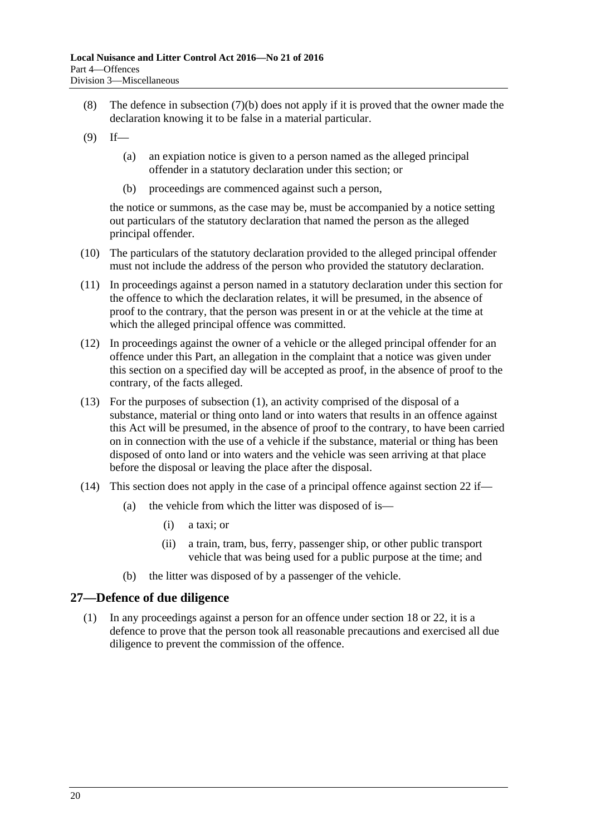- <span id="page-19-1"></span>(8) The defence in [subsection](#page-18-3) (7)(b) does not apply if it is proved that the owner made the declaration knowing it to be false in a material particular.
- $(9)$  If—
	- (a) an expiation notice is given to a person named as the alleged principal offender in a statutory declaration under this section; or
	- (b) proceedings are commenced against such a person,

the notice or summons, as the case may be, must be accompanied by a notice setting out particulars of the statutory declaration that named the person as the alleged principal offender.

- (10) The particulars of the statutory declaration provided to the alleged principal offender must not include the address of the person who provided the statutory declaration.
- (11) In proceedings against a person named in a statutory declaration under this section for the offence to which the declaration relates, it will be presumed, in the absence of proof to the contrary, that the person was present in or at the vehicle at the time at which the alleged principal offence was committed.
- (12) In proceedings against the owner of a vehicle or the alleged principal offender for an offence under this Part, an allegation in the complaint that a notice was given under this section on a specified day will be accepted as proof, in the absence of proof to the contrary, of the facts alleged.
- (13) For the purposes of [subsection](#page-17-4) (1), an activity comprised of the disposal of a substance, material or thing onto land or into waters that results in an offence against this Act will be presumed, in the absence of proof to the contrary, to have been carried on in connection with the use of a vehicle if the substance, material or thing has been disposed of onto land or into waters and the vehicle was seen arriving at that place before the disposal or leaving the place after the disposal.
- (14) This [section](#page-14-1) does not apply in the case of a principal offence against section 22 if—
	- (a) the vehicle from which the litter was disposed of is—
		- (i) a taxi; or
		- (ii) a train, tram, bus, ferry, passenger ship, or other public transport vehicle that was being used for a public purpose at the time; and
	- (b) the litter was disposed of by a passenger of the vehicle.

## <span id="page-19-2"></span><span id="page-19-0"></span>**27—Defence of due diligence**

(1) In any proceedings against a person for an offence under [section](#page-11-3) 18 or [22,](#page-14-1) it is a defence to prove that the person took all reasonable precautions and exercised all due diligence to prevent the commission of the offence.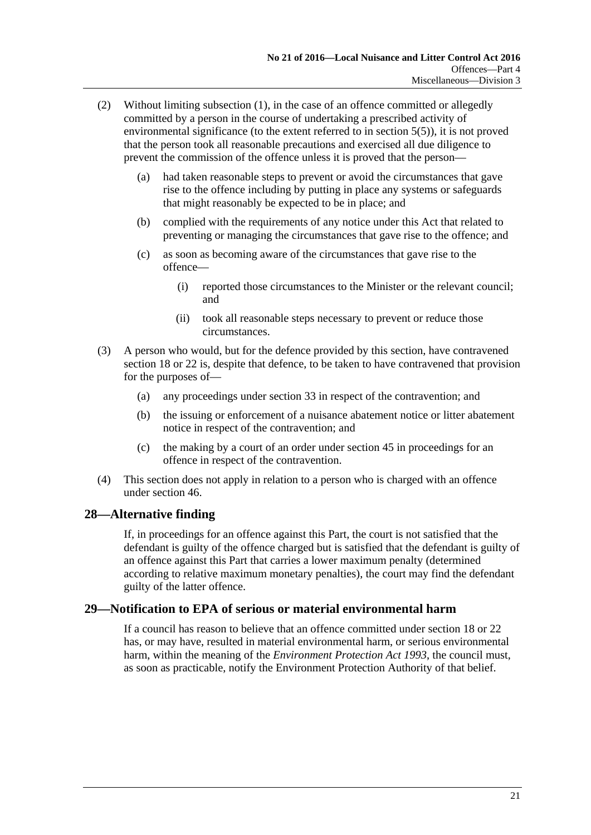- (2) Without limiting [subsection](#page-19-2) (1), in the case of an offence committed or allegedly committed by a person in the course of undertaking a prescribed activity of environmental significance (to the extent referred to in [section](#page-4-4) 5(5)), it is not proved that the person took all reasonable precautions and exercised all due diligence to prevent the commission of the offence unless it is proved that the person—
	- (a) had taken reasonable steps to prevent or avoid the circumstances that gave rise to the offence including by putting in place any systems or safeguards that might reasonably be expected to be in place; and
	- (b) complied with the requirements of any notice under this Act that related to preventing or managing the circumstances that gave rise to the offence; and
	- (c) as soon as becoming aware of the circumstances that gave rise to the offence—
		- (i) reported those circumstances to the Minister or the relevant council; and
		- (ii) took all reasonable steps necessary to prevent or reduce those circumstances.
- (3) A person who would, but for the defence provided by this section, have contravened [section](#page-11-3) 18 or [22](#page-14-1) is, despite that defence, to be taken to have contravened that provision for the purposes of—
	- (a) any proceedings under [section](#page-24-1) 33 in respect of the contravention; and
	- (b) the issuing or enforcement of a nuisance abatement notice or litter abatement notice in respect of the contravention; and
	- (c) the making by a court of an order under [section](#page-32-2) 45 in proceedings for an offence in respect of the contravention.
- (4) This section does not apply in relation to a person who is charged with an offence under [section](#page-33-0) 46.

## <span id="page-20-0"></span>**28—Alternative finding**

If, in proceedings for an offence against this Part, the court is not satisfied that the defendant is guilty of the offence charged but is satisfied that the defendant is guilty of an offence against this Part that carries a lower maximum penalty (determined according to relative maximum monetary penalties), the court may find the defendant guilty of the latter offence.

## <span id="page-20-1"></span>**29—Notification to EPA of serious or material environmental harm**

If a council has reason to believe that an offence committed under [section](#page-11-3) 18 or [22](#page-14-1) has, or may have, resulted in material environmental harm, or serious environmental harm, within the meaning of the *[Environment Protection Act](http://www.legislation.sa.gov.au/index.aspx?action=legref&type=act&legtitle=Environment%20Protection%20Act%201993) 1993*, the council must, as soon as practicable, notify the Environment Protection Authority of that belief.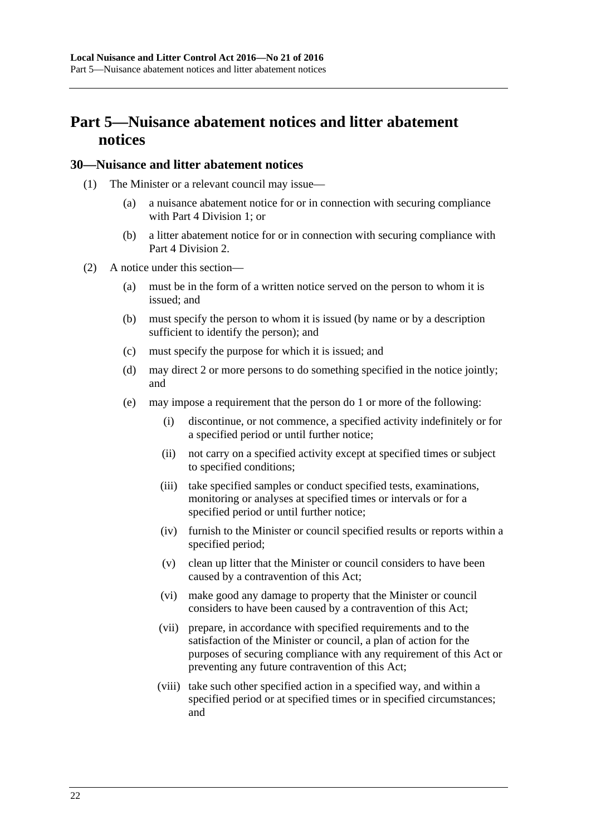## <span id="page-21-0"></span>**Part 5—Nuisance abatement notices and litter abatement notices**

### <span id="page-21-1"></span>**30—Nuisance and litter abatement notices**

- (1) The Minister or a relevant council may issue—
	- (a) a nuisance abatement notice for or in connection with securing compliance with Part [4 Division](#page-11-1) 1; or
	- (b) a litter abatement notice for or in connection with securing compliance with Part [4 Division](#page-14-0) 2.
- <span id="page-21-2"></span>(2) A notice under this section—
	- (a) must be in the form of a written notice served on the person to whom it is issued; and
	- (b) must specify the person to whom it is issued (by name or by a description sufficient to identify the person); and
	- (c) must specify the purpose for which it is issued; and
	- (d) may direct 2 or more persons to do something specified in the notice jointly; and
	- (e) may impose a requirement that the person do 1 or more of the following:
		- (i) discontinue, or not commence, a specified activity indefinitely or for a specified period or until further notice;
		- (ii) not carry on a specified activity except at specified times or subject to specified conditions;
		- (iii) take specified samples or conduct specified tests, examinations, monitoring or analyses at specified times or intervals or for a specified period or until further notice;
		- (iv) furnish to the Minister or council specified results or reports within a specified period;
		- (v) clean up litter that the Minister or council considers to have been caused by a contravention of this Act;
		- (vi) make good any damage to property that the Minister or council considers to have been caused by a contravention of this Act;
		- (vii) prepare, in accordance with specified requirements and to the satisfaction of the Minister or council, a plan of action for the purposes of securing compliance with any requirement of this Act or preventing any future contravention of this Act;
		- (viii) take such other specified action in a specified way, and within a specified period or at specified times or in specified circumstances; and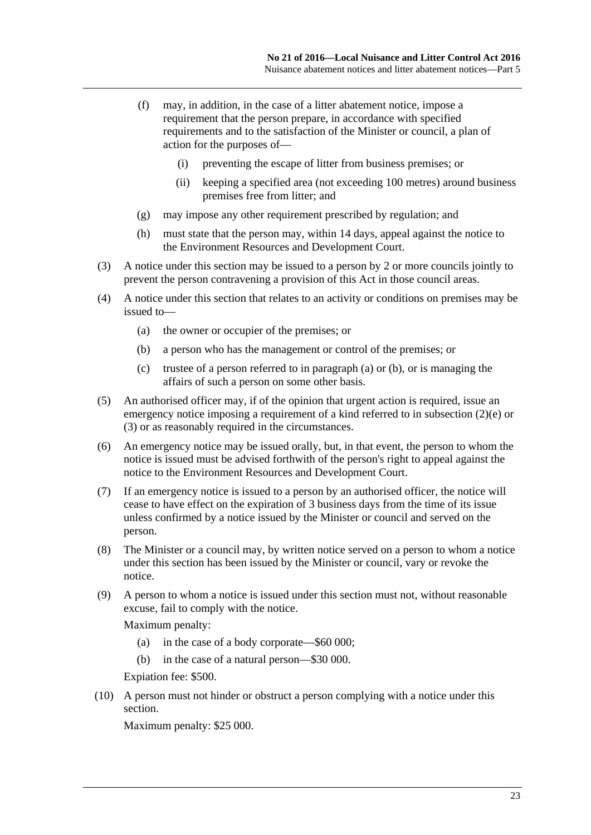- (f) may, in addition, in the case of a litter abatement notice, impose a requirement that the person prepare, in accordance with specified requirements and to the satisfaction of the Minister or council, a plan of action for the purposes of—
	- (i) preventing the escape of litter from business premises; or
	- (ii) keeping a specified area (not exceeding 100 metres) around business premises free from litter; and
- (g) may impose any other requirement prescribed by regulation; and
- (h) must state that the person may, within 14 days, appeal against the notice to the Environment Resources and Development Court.
- <span id="page-22-2"></span>(3) A notice under this section may be issued to a person by 2 or more councils jointly to prevent the person contravening a provision of this Act in those council areas.
- <span id="page-22-1"></span><span id="page-22-0"></span>(4) A notice under this section that relates to an activity or conditions on premises may be issued to—
	- (a) the owner or occupier of the premises; or
	- (b) a person who has the management or control of the premises; or
	- (c) trustee of a person referred to in [paragraph](#page-22-0) (a) or [\(b\),](#page-22-1) or is managing the affairs of such a person on some other basis.
- (5) An authorised officer may, if of the opinion that urgent action is required, issue an emergency notice imposing a requirement of a kind referred to in [subsection](#page-21-2) (2)(e) or [\(3\)](#page-22-2) or as reasonably required in the circumstances.
- (6) An emergency notice may be issued orally, but, in that event, the person to whom the notice is issued must be advised forthwith of the person's right to appeal against the notice to the Environment Resources and Development Court.
- (7) If an emergency notice is issued to a person by an authorised officer, the notice will cease to have effect on the expiration of 3 business days from the time of its issue unless confirmed by a notice issued by the Minister or council and served on the person.
- (8) The Minister or a council may, by written notice served on a person to whom a notice under this section has been issued by the Minister or council, vary or revoke the notice.
- (9) A person to whom a notice is issued under this section must not, without reasonable excuse, fail to comply with the notice.

Maximum penalty:

- (a) in the case of a body corporate—\$60 000;
- (b) in the case of a natural person—\$30 000.

Expiation fee: \$500.

(10) A person must not hinder or obstruct a person complying with a notice under this section.

Maximum penalty: \$25 000.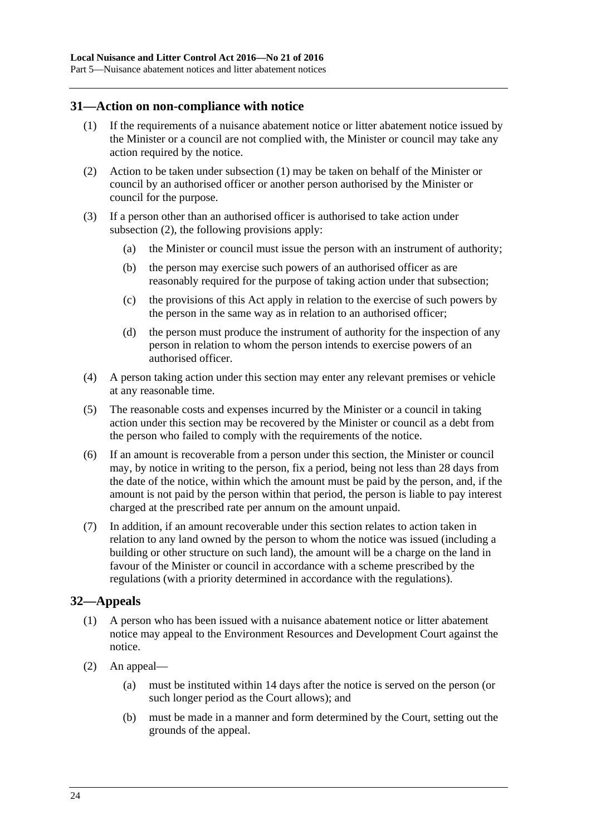### <span id="page-23-2"></span><span id="page-23-0"></span>**31—Action on non-compliance with notice**

- (1) If the requirements of a nuisance abatement notice or litter abatement notice issued by the Minister or a council are not complied with, the Minister or council may take any action required by the notice.
- <span id="page-23-3"></span>(2) Action to be taken under [subsection](#page-23-2) (1) may be taken on behalf of the Minister or council by an authorised officer or another person authorised by the Minister or council for the purpose.
- (3) If a person other than an authorised officer is authorised to take action under [subsection](#page-23-3) (2), the following provisions apply:
	- (a) the Minister or council must issue the person with an instrument of authority;
	- (b) the person may exercise such powers of an authorised officer as are reasonably required for the purpose of taking action under that subsection;
	- (c) the provisions of this Act apply in relation to the exercise of such powers by the person in the same way as in relation to an authorised officer;
	- (d) the person must produce the instrument of authority for the inspection of any person in relation to whom the person intends to exercise powers of an authorised officer.
- (4) A person taking action under this section may enter any relevant premises or vehicle at any reasonable time.
- (5) The reasonable costs and expenses incurred by the Minister or a council in taking action under this section may be recovered by the Minister or council as a debt from the person who failed to comply with the requirements of the notice.
- (6) If an amount is recoverable from a person under this section, the Minister or council may, by notice in writing to the person, fix a period, being not less than 28 days from the date of the notice, within which the amount must be paid by the person, and, if the amount is not paid by the person within that period, the person is liable to pay interest charged at the prescribed rate per annum on the amount unpaid.
- (7) In addition, if an amount recoverable under this section relates to action taken in relation to any land owned by the person to whom the notice was issued (including a building or other structure on such land), the amount will be a charge on the land in favour of the Minister or council in accordance with a scheme prescribed by the regulations (with a priority determined in accordance with the regulations).

## <span id="page-23-1"></span>**32—Appeals**

- (1) A person who has been issued with a nuisance abatement notice or litter abatement notice may appeal to the Environment Resources and Development Court against the notice.
- (2) An appeal—
	- (a) must be instituted within 14 days after the notice is served on the person (or such longer period as the Court allows); and
	- (b) must be made in a manner and form determined by the Court, setting out the grounds of the appeal.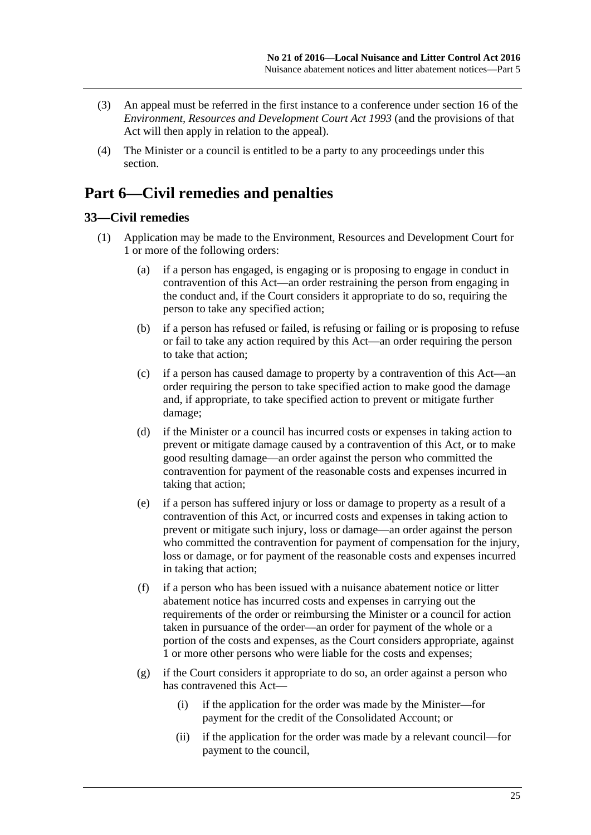- (3) An appeal must be referred in the first instance to a conference under section 16 of the *[Environment, Resources and Development Court Act](http://www.legislation.sa.gov.au/index.aspx?action=legref&type=act&legtitle=Environment%20Resources%20and%20Development%20Court%20Act%201993) 1993* (and the provisions of that Act will then apply in relation to the appeal).
- (4) The Minister or a council is entitled to be a party to any proceedings under this section.

## <span id="page-24-0"></span>**Part 6—Civil remedies and penalties**

## <span id="page-24-2"></span><span id="page-24-1"></span>**33—Civil remedies**

- (1) Application may be made to the Environment, Resources and Development Court for 1 or more of the following orders:
	- (a) if a person has engaged, is engaging or is proposing to engage in conduct in contravention of this Act—an order restraining the person from engaging in the conduct and, if the Court considers it appropriate to do so, requiring the person to take any specified action;
	- (b) if a person has refused or failed, is refusing or failing or is proposing to refuse or fail to take any action required by this Act—an order requiring the person to take that action;
	- (c) if a person has caused damage to property by a contravention of this Act—an order requiring the person to take specified action to make good the damage and, if appropriate, to take specified action to prevent or mitigate further damage;
	- (d) if the Minister or a council has incurred costs or expenses in taking action to prevent or mitigate damage caused by a contravention of this Act, or to make good resulting damage—an order against the person who committed the contravention for payment of the reasonable costs and expenses incurred in taking that action;
	- (e) if a person has suffered injury or loss or damage to property as a result of a contravention of this Act, or incurred costs and expenses in taking action to prevent or mitigate such injury, loss or damage—an order against the person who committed the contravention for payment of compensation for the injury, loss or damage, or for payment of the reasonable costs and expenses incurred in taking that action;
	- (f) if a person who has been issued with a nuisance abatement notice or litter abatement notice has incurred costs and expenses in carrying out the requirements of the order or reimbursing the Minister or a council for action taken in pursuance of the order—an order for payment of the whole or a portion of the costs and expenses, as the Court considers appropriate, against 1 or more other persons who were liable for the costs and expenses;
	- (g) if the Court considers it appropriate to do so, an order against a person who has contravened this Act—
		- (i) if the application for the order was made by the Minister—for payment for the credit of the Consolidated Account; or
		- (ii) if the application for the order was made by a relevant council—for payment to the council,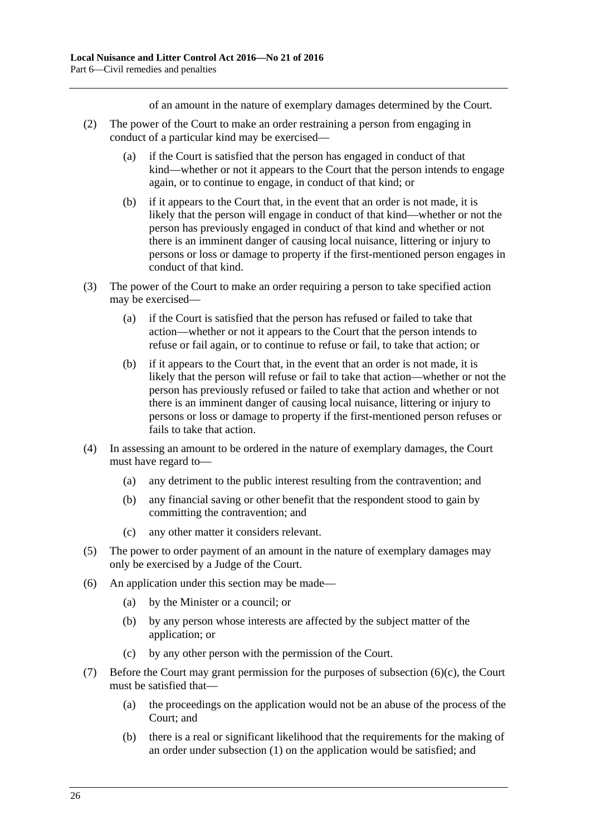of an amount in the nature of exemplary damages determined by the Court.

- (2) The power of the Court to make an order restraining a person from engaging in conduct of a particular kind may be exercised—
	- (a) if the Court is satisfied that the person has engaged in conduct of that kind—whether or not it appears to the Court that the person intends to engage again, or to continue to engage, in conduct of that kind; or
	- (b) if it appears to the Court that, in the event that an order is not made, it is likely that the person will engage in conduct of that kind—whether or not the person has previously engaged in conduct of that kind and whether or not there is an imminent danger of causing local nuisance, littering or injury to persons or loss or damage to property if the first-mentioned person engages in conduct of that kind.
- (3) The power of the Court to make an order requiring a person to take specified action may be exercised—
	- (a) if the Court is satisfied that the person has refused or failed to take that action—whether or not it appears to the Court that the person intends to refuse or fail again, or to continue to refuse or fail, to take that action; or
	- (b) if it appears to the Court that, in the event that an order is not made, it is likely that the person will refuse or fail to take that action—whether or not the person has previously refused or failed to take that action and whether or not there is an imminent danger of causing local nuisance, littering or injury to persons or loss or damage to property if the first-mentioned person refuses or fails to take that action.
- (4) In assessing an amount to be ordered in the nature of exemplary damages, the Court must have regard to—
	- (a) any detriment to the public interest resulting from the contravention; and
	- (b) any financial saving or other benefit that the respondent stood to gain by committing the contravention; and
	- (c) any other matter it considers relevant.
- (5) The power to order payment of an amount in the nature of exemplary damages may only be exercised by a Judge of the Court.
- (6) An application under this section may be made—
	- (a) by the Minister or a council; or
	- (b) by any person whose interests are affected by the subject matter of the application; or
	- (c) by any other person with the permission of the Court.
- <span id="page-25-0"></span>(7) Before the Court may grant permission for the purposes of [subsection](#page-25-0) (6)(c), the Court must be satisfied that—
	- (a) the proceedings on the application would not be an abuse of the process of the Court; and
	- (b) there is a real or significant likelihood that the requirements for the making of an order under [subsection](#page-24-2) (1) on the application would be satisfied; and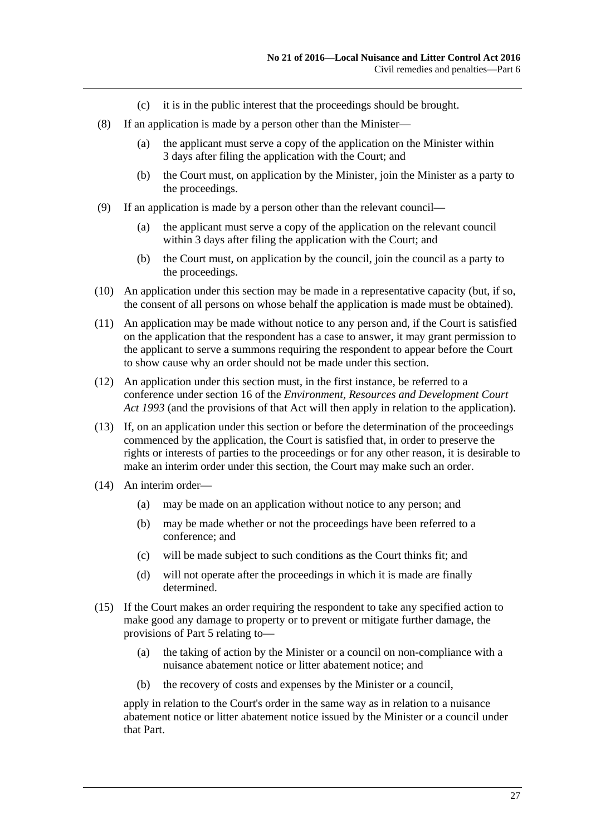- (c) it is in the public interest that the proceedings should be brought.
- (8) If an application is made by a person other than the Minister—
	- (a) the applicant must serve a copy of the application on the Minister within 3 days after filing the application with the Court; and
	- (b) the Court must, on application by the Minister, join the Minister as a party to the proceedings.
- (9) If an application is made by a person other than the relevant council—
	- (a) the applicant must serve a copy of the application on the relevant council within 3 days after filing the application with the Court; and
	- (b) the Court must, on application by the council, join the council as a party to the proceedings.
- (10) An application under this section may be made in a representative capacity (but, if so, the consent of all persons on whose behalf the application is made must be obtained).
- (11) An application may be made without notice to any person and, if the Court is satisfied on the application that the respondent has a case to answer, it may grant permission to the applicant to serve a summons requiring the respondent to appear before the Court to show cause why an order should not be made under this section.
- (12) An application under this section must, in the first instance, be referred to a conference under section 16 of the *[Environment, Resources and Development Court](http://www.legislation.sa.gov.au/index.aspx?action=legref&type=act&legtitle=Environment%20Resources%20and%20Development%20Court%20Act%201993)  Act [1993](http://www.legislation.sa.gov.au/index.aspx?action=legref&type=act&legtitle=Environment%20Resources%20and%20Development%20Court%20Act%201993)* (and the provisions of that Act will then apply in relation to the application).
- (13) If, on an application under this section or before the determination of the proceedings commenced by the application, the Court is satisfied that, in order to preserve the rights or interests of parties to the proceedings or for any other reason, it is desirable to make an interim order under this section, the Court may make such an order.
- (14) An interim order—
	- (a) may be made on an application without notice to any person; and
	- (b) may be made whether or not the proceedings have been referred to a conference; and
	- (c) will be made subject to such conditions as the Court thinks fit; and
	- (d) will not operate after the proceedings in which it is made are finally determined.
- (15) If the Court makes an order requiring the respondent to take any specified action to make good any damage to property or to prevent or mitigate further damage, the provisions of [Part](#page-21-0) 5 relating to—
	- (a) the taking of action by the Minister or a council on non-compliance with a nuisance abatement notice or litter abatement notice; and
	- (b) the recovery of costs and expenses by the Minister or a council,

apply in relation to the Court's order in the same way as in relation to a nuisance abatement notice or litter abatement notice issued by the Minister or a council under that Part.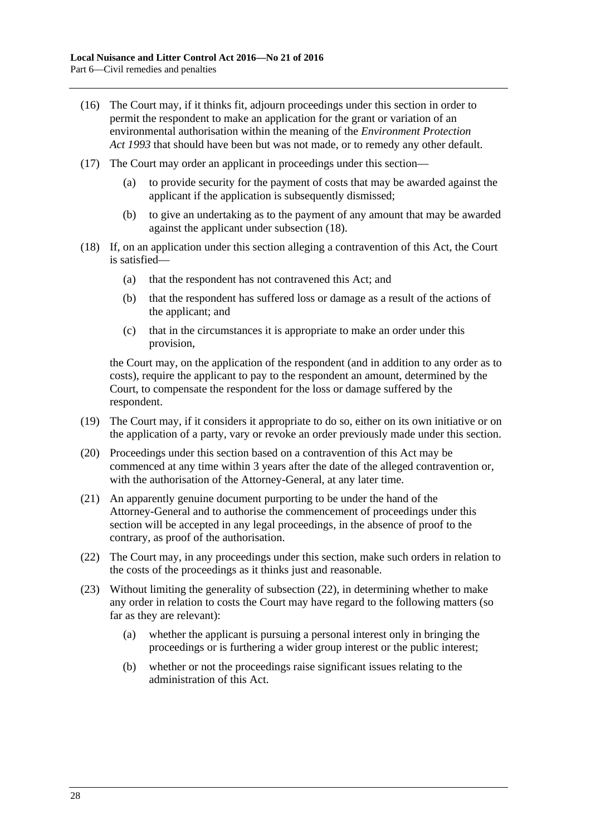- (16) The Court may, if it thinks fit, adjourn proceedings under this section in order to permit the respondent to make an application for the grant or variation of an environmental authorisation within the meaning of the *[Environment Protection](http://www.legislation.sa.gov.au/index.aspx?action=legref&type=act&legtitle=Environment%20Protection%20Act%201993)  Act [1993](http://www.legislation.sa.gov.au/index.aspx?action=legref&type=act&legtitle=Environment%20Protection%20Act%201993)* that should have been but was not made, or to remedy any other default.
- (17) The Court may order an applicant in proceedings under this section—
	- (a) to provide security for the payment of costs that may be awarded against the applicant if the application is subsequently dismissed;
	- (b) to give an undertaking as to the payment of any amount that may be awarded against the applicant under [subsection](#page-27-0) (18).
- <span id="page-27-0"></span>(18) If, on an application under this section alleging a contravention of this Act, the Court is satisfied—
	- (a) that the respondent has not contravened this Act; and
	- (b) that the respondent has suffered loss or damage as a result of the actions of the applicant; and
	- (c) that in the circumstances it is appropriate to make an order under this provision,

the Court may, on the application of the respondent (and in addition to any order as to costs), require the applicant to pay to the respondent an amount, determined by the Court, to compensate the respondent for the loss or damage suffered by the respondent.

- (19) The Court may, if it considers it appropriate to do so, either on its own initiative or on the application of a party, vary or revoke an order previously made under this section.
- (20) Proceedings under this section based on a contravention of this Act may be commenced at any time within 3 years after the date of the alleged contravention or, with the authorisation of the Attorney-General, at any later time.
- (21) An apparently genuine document purporting to be under the hand of the Attorney-General and to authorise the commencement of proceedings under this section will be accepted in any legal proceedings, in the absence of proof to the contrary, as proof of the authorisation.
- <span id="page-27-1"></span>(22) The Court may, in any proceedings under this section, make such orders in relation to the costs of the proceedings as it thinks just and reasonable.
- (23) Without limiting the generality of [subsection](#page-27-1) (22), in determining whether to make any order in relation to costs the Court may have regard to the following matters (so far as they are relevant):
	- (a) whether the applicant is pursuing a personal interest only in bringing the proceedings or is furthering a wider group interest or the public interest;
	- (b) whether or not the proceedings raise significant issues relating to the administration of this Act.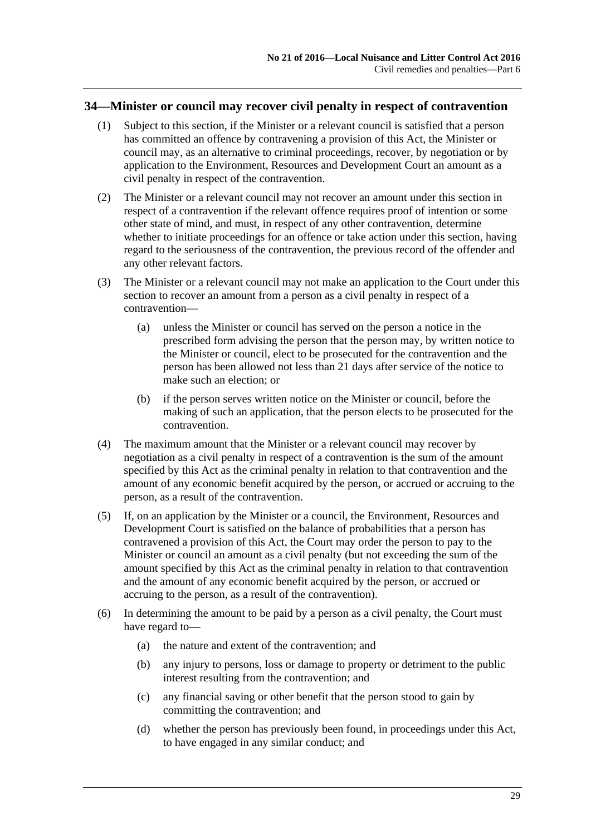### <span id="page-28-0"></span>**34—Minister or council may recover civil penalty in respect of contravention**

- (1) Subject to this section, if the Minister or a relevant council is satisfied that a person has committed an offence by contravening a provision of this Act, the Minister or council may, as an alternative to criminal proceedings, recover, by negotiation or by application to the Environment, Resources and Development Court an amount as a civil penalty in respect of the contravention.
- (2) The Minister or a relevant council may not recover an amount under this section in respect of a contravention if the relevant offence requires proof of intention or some other state of mind, and must, in respect of any other contravention, determine whether to initiate proceedings for an offence or take action under this section, having regard to the seriousness of the contravention, the previous record of the offender and any other relevant factors.
- (3) The Minister or a relevant council may not make an application to the Court under this section to recover an amount from a person as a civil penalty in respect of a contravention—
	- (a) unless the Minister or council has served on the person a notice in the prescribed form advising the person that the person may, by written notice to the Minister or council, elect to be prosecuted for the contravention and the person has been allowed not less than 21 days after service of the notice to make such an election; or
	- (b) if the person serves written notice on the Minister or council, before the making of such an application, that the person elects to be prosecuted for the contravention.
- (4) The maximum amount that the Minister or a relevant council may recover by negotiation as a civil penalty in respect of a contravention is the sum of the amount specified by this Act as the criminal penalty in relation to that contravention and the amount of any economic benefit acquired by the person, or accrued or accruing to the person, as a result of the contravention.
- (5) If, on an application by the Minister or a council, the Environment, Resources and Development Court is satisfied on the balance of probabilities that a person has contravened a provision of this Act, the Court may order the person to pay to the Minister or council an amount as a civil penalty (but not exceeding the sum of the amount specified by this Act as the criminal penalty in relation to that contravention and the amount of any economic benefit acquired by the person, or accrued or accruing to the person, as a result of the contravention).
- (6) In determining the amount to be paid by a person as a civil penalty, the Court must have regard to—
	- (a) the nature and extent of the contravention; and
	- (b) any injury to persons, loss or damage to property or detriment to the public interest resulting from the contravention; and
	- (c) any financial saving or other benefit that the person stood to gain by committing the contravention; and
	- (d) whether the person has previously been found, in proceedings under this Act, to have engaged in any similar conduct; and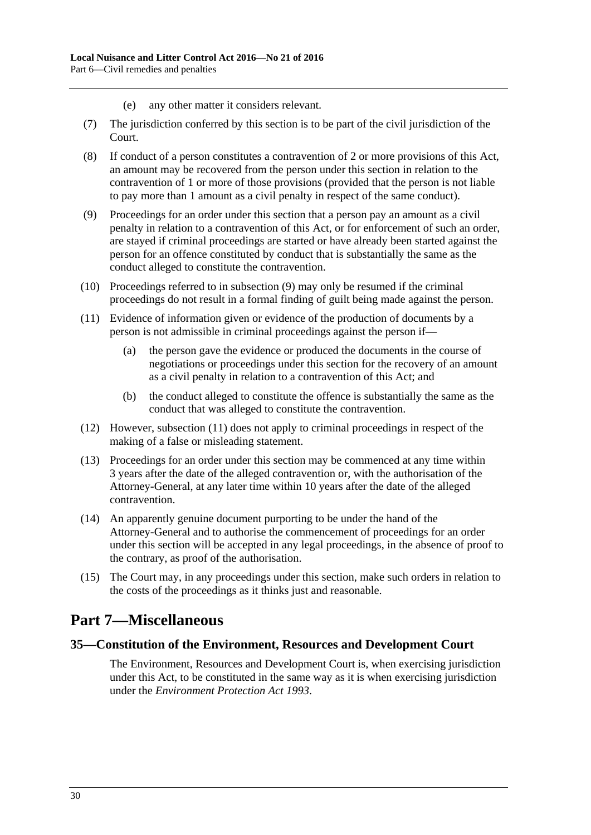- (e) any other matter it considers relevant.
- (7) The jurisdiction conferred by this section is to be part of the civil jurisdiction of the Court.
- (8) If conduct of a person constitutes a contravention of 2 or more provisions of this Act, an amount may be recovered from the person under this section in relation to the contravention of 1 or more of those provisions (provided that the person is not liable to pay more than 1 amount as a civil penalty in respect of the same conduct).
- <span id="page-29-2"></span>(9) Proceedings for an order under this section that a person pay an amount as a civil penalty in relation to a contravention of this Act, or for enforcement of such an order, are stayed if criminal proceedings are started or have already been started against the person for an offence constituted by conduct that is substantially the same as the conduct alleged to constitute the contravention.
- (10) Proceedings referred to in [subsection](#page-29-2) (9) may only be resumed if the criminal proceedings do not result in a formal finding of guilt being made against the person.
- <span id="page-29-3"></span>(11) Evidence of information given or evidence of the production of documents by a person is not admissible in criminal proceedings against the person if—
	- (a) the person gave the evidence or produced the documents in the course of negotiations or proceedings under this section for the recovery of an amount as a civil penalty in relation to a contravention of this Act; and
	- (b) the conduct alleged to constitute the offence is substantially the same as the conduct that was alleged to constitute the contravention.
- (12) However, [subsection](#page-29-3) (11) does not apply to criminal proceedings in respect of the making of a false or misleading statement.
- (13) Proceedings for an order under this section may be commenced at any time within 3 years after the date of the alleged contravention or, with the authorisation of the Attorney-General, at any later time within 10 years after the date of the alleged contravention.
- (14) An apparently genuine document purporting to be under the hand of the Attorney-General and to authorise the commencement of proceedings for an order under this section will be accepted in any legal proceedings, in the absence of proof to the contrary, as proof of the authorisation.
- (15) The Court may, in any proceedings under this section, make such orders in relation to the costs of the proceedings as it thinks just and reasonable.

## <span id="page-29-0"></span>**Part 7—Miscellaneous**

### <span id="page-29-1"></span>**35—Constitution of the Environment, Resources and Development Court**

The Environment, Resources and Development Court is, when exercising jurisdiction under this Act, to be constituted in the same way as it is when exercising jurisdiction under the *[Environment Protection Act](http://www.legislation.sa.gov.au/index.aspx?action=legref&type=act&legtitle=Environment%20Protection%20Act%201993) 1993*.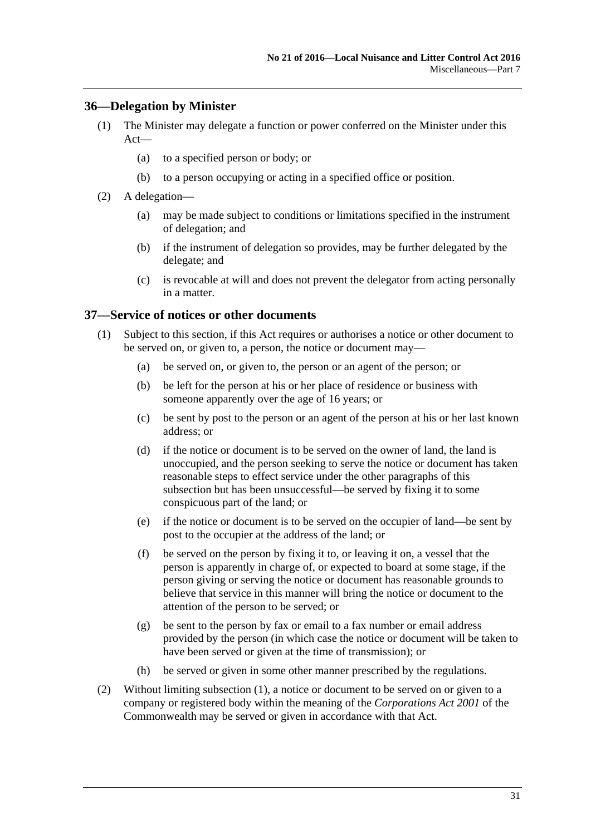## <span id="page-30-0"></span>**36—Delegation by Minister**

- (1) The Minister may delegate a function or power conferred on the Minister under this Act—
	- (a) to a specified person or body; or
	- (b) to a person occupying or acting in a specified office or position.
- (2) A delegation—
	- (a) may be made subject to conditions or limitations specified in the instrument of delegation; and
	- (b) if the instrument of delegation so provides, may be further delegated by the delegate; and
	- (c) is revocable at will and does not prevent the delegator from acting personally in a matter.

### <span id="page-30-2"></span><span id="page-30-1"></span>**37—Service of notices or other documents**

- (1) Subject to this section, if this Act requires or authorises a notice or other document to be served on, or given to, a person, the notice or document may—
	- (a) be served on, or given to, the person or an agent of the person; or
	- (b) be left for the person at his or her place of residence or business with someone apparently over the age of 16 years; or
	- (c) be sent by post to the person or an agent of the person at his or her last known address; or
	- (d) if the notice or document is to be served on the owner of land, the land is unoccupied, and the person seeking to serve the notice or document has taken reasonable steps to effect service under the other paragraphs of this subsection but has been unsuccessful—be served by fixing it to some conspicuous part of the land; or
	- (e) if the notice or document is to be served on the occupier of land—be sent by post to the occupier at the address of the land; or
	- (f) be served on the person by fixing it to, or leaving it on, a vessel that the person is apparently in charge of, or expected to board at some stage, if the person giving or serving the notice or document has reasonable grounds to believe that service in this manner will bring the notice or document to the attention of the person to be served; or
	- (g) be sent to the person by fax or email to a fax number or email address provided by the person (in which case the notice or document will be taken to have been served or given at the time of transmission); or
	- (h) be served or given in some other manner prescribed by the regulations.
- (2) Without limiting [subsection](#page-30-2) (1), a notice or document to be served on or given to a company or registered body within the meaning of the *Corporations Act 2001* of the Commonwealth may be served or given in accordance with that Act.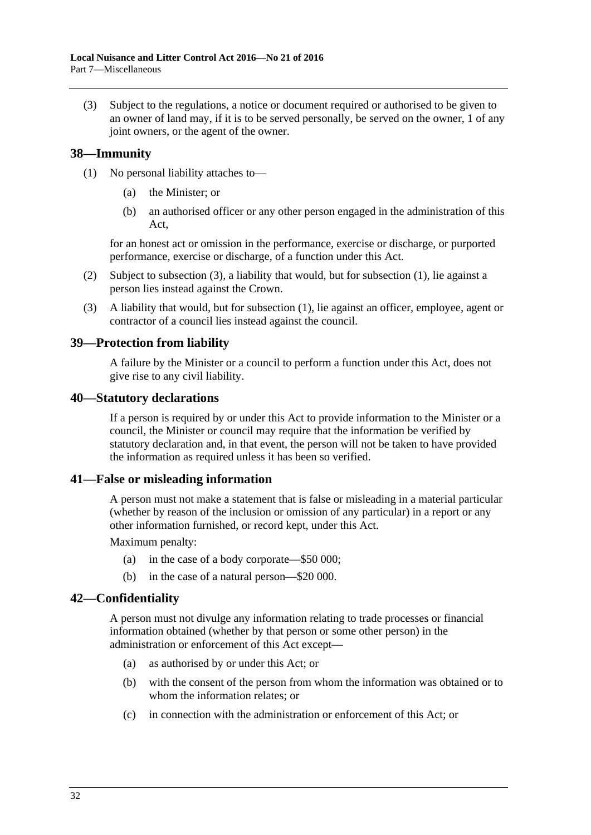(3) Subject to the regulations, a notice or document required or authorised to be given to an owner of land may, if it is to be served personally, be served on the owner, 1 of any joint owners, or the agent of the owner.

## <span id="page-31-6"></span><span id="page-31-0"></span>**38—Immunity**

- (1) No personal liability attaches to—
	- (a) the Minister; or
	- (b) an authorised officer or any other person engaged in the administration of this Act,

for an honest act or omission in the performance, exercise or discharge, or purported performance, exercise or discharge, of a function under this Act.

- (2) Subject to [subsection](#page-31-5) (3), a liability that would, but for [subsection](#page-31-6) (1), lie against a person lies instead against the Crown.
- <span id="page-31-5"></span>(3) A liability that would, but for [subsection](#page-31-6) (1), lie against an officer, employee, agent or contractor of a council lies instead against the council.

### <span id="page-31-1"></span>**39—Protection from liability**

A failure by the Minister or a council to perform a function under this Act, does not give rise to any civil liability.

#### <span id="page-31-2"></span>**40—Statutory declarations**

If a person is required by or under this Act to provide information to the Minister or a council, the Minister or council may require that the information be verified by statutory declaration and, in that event, the person will not be taken to have provided the information as required unless it has been so verified.

### <span id="page-31-3"></span>**41—False or misleading information**

A person must not make a statement that is false or misleading in a material particular (whether by reason of the inclusion or omission of any particular) in a report or any other information furnished, or record kept, under this Act.

Maximum penalty:

- (a) in the case of a body corporate—\$50 000;
- (b) in the case of a natural person—\$20 000.

### <span id="page-31-4"></span>**42—Confidentiality**

A person must not divulge any information relating to trade processes or financial information obtained (whether by that person or some other person) in the administration or enforcement of this Act except—

- (a) as authorised by or under this Act; or
- (b) with the consent of the person from whom the information was obtained or to whom the information relates; or
- (c) in connection with the administration or enforcement of this Act; or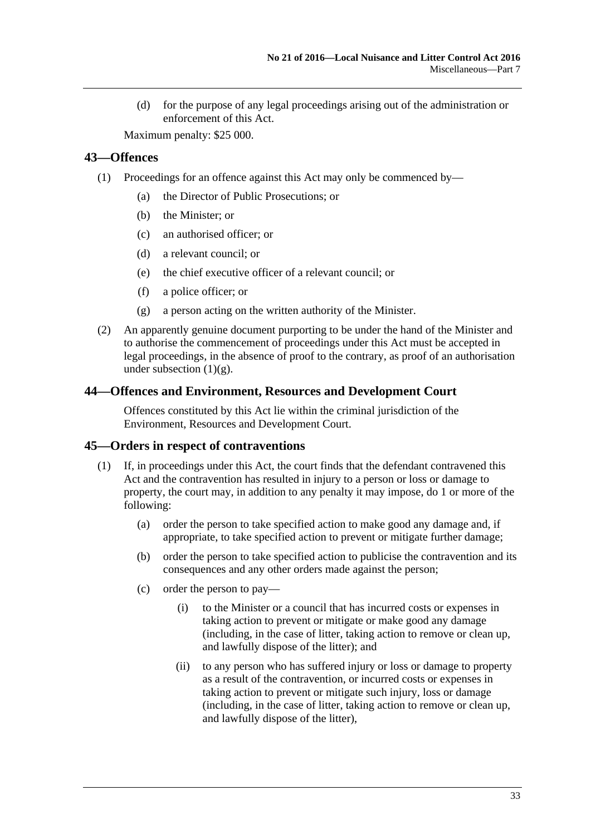(d) for the purpose of any legal proceedings arising out of the administration or enforcement of this Act.

Maximum penalty: \$25 000.

## <span id="page-32-0"></span>**43—Offences**

- (1) Proceedings for an offence against this Act may only be commenced by—
	- (a) the Director of Public Prosecutions; or
	- (b) the Minister; or
	- (c) an authorised officer; or
	- (d) a relevant council; or
	- (e) the chief executive officer of a relevant council; or
	- (f) a police officer; or
	- (g) a person acting on the written authority of the Minister.
- <span id="page-32-3"></span>(2) An apparently genuine document purporting to be under the hand of the Minister and to authorise the commencement of proceedings under this Act must be accepted in legal proceedings, in the absence of proof to the contrary, as proof of an authorisation under [subsection](#page-32-3)  $(1)(g)$ .

### <span id="page-32-1"></span>**44—Offences and Environment, Resources and Development Court**

Offences constituted by this Act lie within the criminal jurisdiction of the Environment, Resources and Development Court.

### <span id="page-32-2"></span>**45—Orders in respect of contraventions**

- (1) If, in proceedings under this Act, the court finds that the defendant contravened this Act and the contravention has resulted in injury to a person or loss or damage to property, the court may, in addition to any penalty it may impose, do 1 or more of the following:
	- (a) order the person to take specified action to make good any damage and, if appropriate, to take specified action to prevent or mitigate further damage;
	- (b) order the person to take specified action to publicise the contravention and its consequences and any other orders made against the person;
	- (c) order the person to pay—
		- (i) to the Minister or a council that has incurred costs or expenses in taking action to prevent or mitigate or make good any damage (including, in the case of litter, taking action to remove or clean up, and lawfully dispose of the litter); and
		- (ii) to any person who has suffered injury or loss or damage to property as a result of the contravention, or incurred costs or expenses in taking action to prevent or mitigate such injury, loss or damage (including, in the case of litter, taking action to remove or clean up, and lawfully dispose of the litter),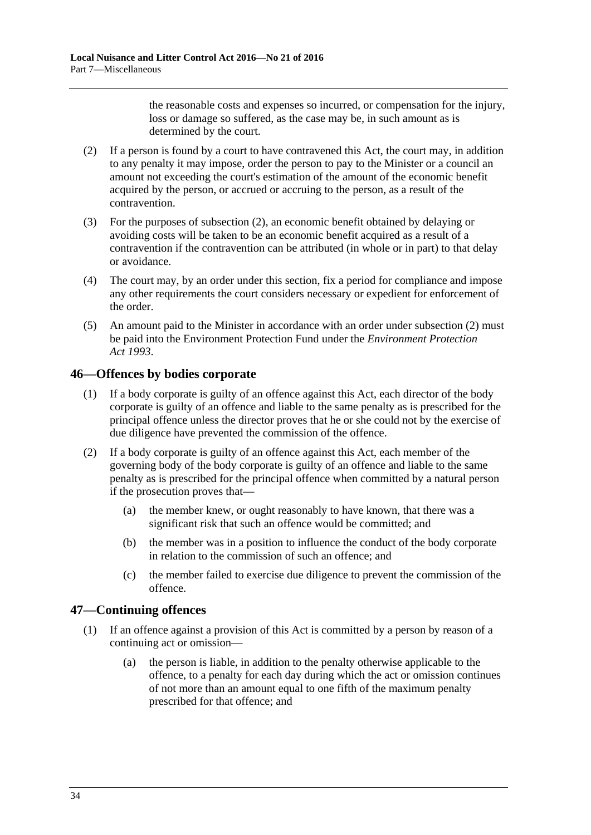the reasonable costs and expenses so incurred, or compensation for the injury, loss or damage so suffered, as the case may be, in such amount as is determined by the court.

- <span id="page-33-2"></span>(2) If a person is found by a court to have contravened this Act, the court may, in addition to any penalty it may impose, order the person to pay to the Minister or a council an amount not exceeding the court's estimation of the amount of the economic benefit acquired by the person, or accrued or accruing to the person, as a result of the contravention.
- (3) For the purposes of [subsection](#page-33-2) (2), an economic benefit obtained by delaying or avoiding costs will be taken to be an economic benefit acquired as a result of a contravention if the contravention can be attributed (in whole or in part) to that delay or avoidance.
- (4) The court may, by an order under this section, fix a period for compliance and impose any other requirements the court considers necessary or expedient for enforcement of the order.
- (5) An amount paid to the Minister in accordance with an order under [subsection](#page-33-2) (2) must be paid into the Environment Protection Fund under the *[Environment Protection](http://www.legislation.sa.gov.au/index.aspx?action=legref&type=act&legtitle=Environment%20Protection%20Act%201993)  Act [1993](http://www.legislation.sa.gov.au/index.aspx?action=legref&type=act&legtitle=Environment%20Protection%20Act%201993)*.

## <span id="page-33-0"></span>**46—Offences by bodies corporate**

- (1) If a body corporate is guilty of an offence against this Act, each director of the body corporate is guilty of an offence and liable to the same penalty as is prescribed for the principal offence unless the director proves that he or she could not by the exercise of due diligence have prevented the commission of the offence.
- (2) If a body corporate is guilty of an offence against this Act, each member of the governing body of the body corporate is guilty of an offence and liable to the same penalty as is prescribed for the principal offence when committed by a natural person if the prosecution proves that—
	- (a) the member knew, or ought reasonably to have known, that there was a significant risk that such an offence would be committed; and
	- (b) the member was in a position to influence the conduct of the body corporate in relation to the commission of such an offence; and
	- (c) the member failed to exercise due diligence to prevent the commission of the offence.

## <span id="page-33-1"></span>**47—Continuing offences**

- (1) If an offence against a provision of this Act is committed by a person by reason of a continuing act or omission—
	- (a) the person is liable, in addition to the penalty otherwise applicable to the offence, to a penalty for each day during which the act or omission continues of not more than an amount equal to one fifth of the maximum penalty prescribed for that offence; and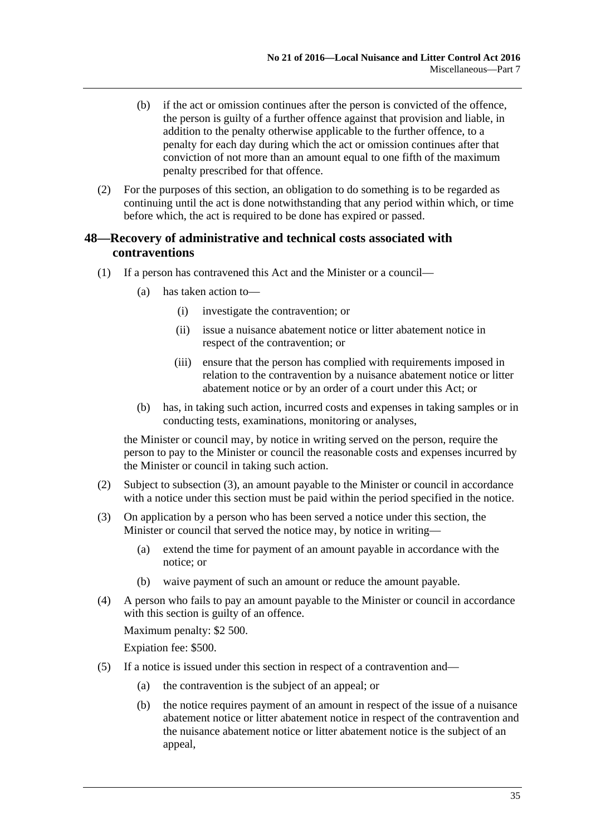- (b) if the act or omission continues after the person is convicted of the offence, the person is guilty of a further offence against that provision and liable, in addition to the penalty otherwise applicable to the further offence, to a penalty for each day during which the act or omission continues after that conviction of not more than an amount equal to one fifth of the maximum penalty prescribed for that offence.
- (2) For the purposes of this section, an obligation to do something is to be regarded as continuing until the act is done notwithstanding that any period within which, or time before which, the act is required to be done has expired or passed.

## <span id="page-34-0"></span>**48—Recovery of administrative and technical costs associated with contraventions**

- (1) If a person has contravened this Act and the Minister or a council—
	- (a) has taken action to—
		- (i) investigate the contravention; or
		- (ii) issue a nuisance abatement notice or litter abatement notice in respect of the contravention; or
		- (iii) ensure that the person has complied with requirements imposed in relation to the contravention by a nuisance abatement notice or litter abatement notice or by an order of a court under this Act; or
	- (b) has, in taking such action, incurred costs and expenses in taking samples or in conducting tests, examinations, monitoring or analyses,

the Minister or council may, by notice in writing served on the person, require the person to pay to the Minister or council the reasonable costs and expenses incurred by the Minister or council in taking such action.

- (2) Subject to [subsection](#page-34-1) (3), an amount payable to the Minister or council in accordance with a notice under this section must be paid within the period specified in the notice.
- <span id="page-34-1"></span>(3) On application by a person who has been served a notice under this section, the Minister or council that served the notice may, by notice in writing—
	- (a) extend the time for payment of an amount payable in accordance with the notice; or
	- (b) waive payment of such an amount or reduce the amount payable.
- (4) A person who fails to pay an amount payable to the Minister or council in accordance with this section is guilty of an offence.

Maximum penalty: \$2 500.

Expiation fee: \$500.

- (5) If a notice is issued under this section in respect of a contravention and—
	- (a) the contravention is the subject of an appeal; or
	- (b) the notice requires payment of an amount in respect of the issue of a nuisance abatement notice or litter abatement notice in respect of the contravention and the nuisance abatement notice or litter abatement notice is the subject of an appeal,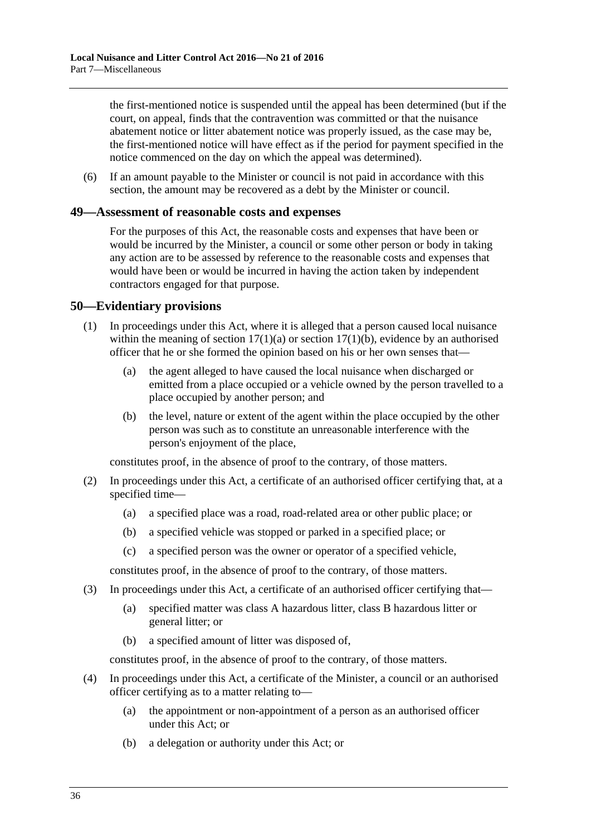the first-mentioned notice is suspended until the appeal has been determined (but if the court, on appeal, finds that the contravention was committed or that the nuisance abatement notice or litter abatement notice was properly issued, as the case may be, the first-mentioned notice will have effect as if the period for payment specified in the notice commenced on the day on which the appeal was determined).

(6) If an amount payable to the Minister or council is not paid in accordance with this section, the amount may be recovered as a debt by the Minister or council.

#### <span id="page-35-0"></span>**49—Assessment of reasonable costs and expenses**

For the purposes of this Act, the reasonable costs and expenses that have been or would be incurred by the Minister, a council or some other person or body in taking any action are to be assessed by reference to the reasonable costs and expenses that would have been or would be incurred in having the action taken by independent contractors engaged for that purpose.

### <span id="page-35-1"></span>**50—Evidentiary provisions**

- (1) In proceedings under this Act, where it is alleged that a person caused local nuisance within the meaning of section  $17(1)(a)$  or section  $17(1)(b)$ , evidence by an authorised officer that he or she formed the opinion based on his or her own senses that—
	- (a) the agent alleged to have caused the local nuisance when discharged or emitted from a place occupied or a vehicle owned by the person travelled to a place occupied by another person; and
	- (b) the level, nature or extent of the agent within the place occupied by the other person was such as to constitute an unreasonable interference with the person's enjoyment of the place,

constitutes proof, in the absence of proof to the contrary, of those matters.

- (2) In proceedings under this Act, a certificate of an authorised officer certifying that, at a specified time—
	- (a) a specified place was a road, road-related area or other public place; or
	- (b) a specified vehicle was stopped or parked in a specified place; or
	- (c) a specified person was the owner or operator of a specified vehicle,

constitutes proof, in the absence of proof to the contrary, of those matters.

- (3) In proceedings under this Act, a certificate of an authorised officer certifying that—
	- (a) specified matter was class A hazardous litter, class B hazardous litter or general litter; or
	- (b) a specified amount of litter was disposed of,

constitutes proof, in the absence of proof to the contrary, of those matters.

- (4) In proceedings under this Act, a certificate of the Minister, a council or an authorised officer certifying as to a matter relating to—
	- (a) the appointment or non-appointment of a person as an authorised officer under this Act; or
	- (b) a delegation or authority under this Act; or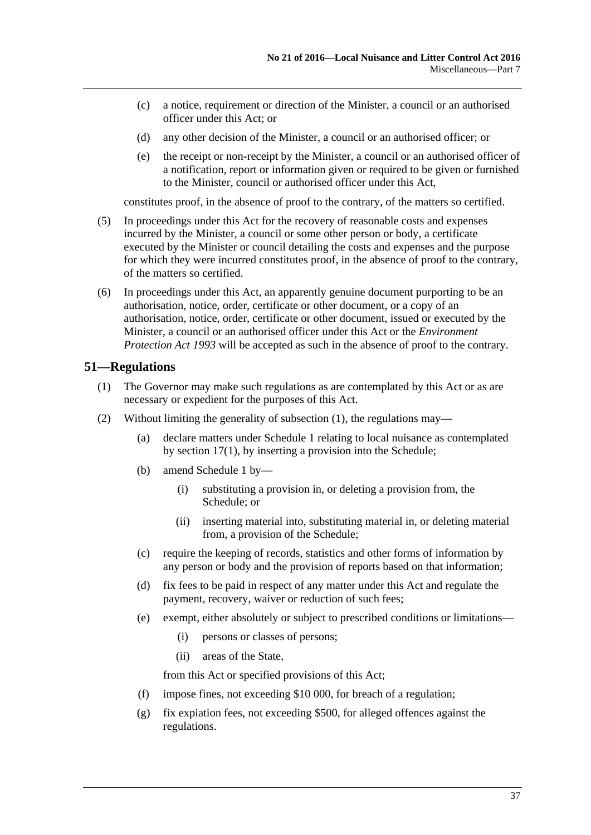- (c) a notice, requirement or direction of the Minister, a council or an authorised officer under this Act; or
- (d) any other decision of the Minister, a council or an authorised officer; or
- (e) the receipt or non-receipt by the Minister, a council or an authorised officer of a notification, report or information given or required to be given or furnished to the Minister, council or authorised officer under this Act,

constitutes proof, in the absence of proof to the contrary, of the matters so certified.

- (5) In proceedings under this Act for the recovery of reasonable costs and expenses incurred by the Minister, a council or some other person or body, a certificate executed by the Minister or council detailing the costs and expenses and the purpose for which they were incurred constitutes proof, in the absence of proof to the contrary, of the matters so certified.
- (6) In proceedings under this Act, an apparently genuine document purporting to be an authorisation, notice, order, certificate or other document, or a copy of an authorisation, notice, order, certificate or other document, issued or executed by the Minister, a council or an authorised officer under this Act or the *[Environment](http://www.legislation.sa.gov.au/index.aspx?action=legref&type=act&legtitle=Environment%20Protection%20Act%201993)  [Protection Act](http://www.legislation.sa.gov.au/index.aspx?action=legref&type=act&legtitle=Environment%20Protection%20Act%201993) 1993* will be accepted as such in the absence of proof to the contrary.

## <span id="page-36-3"></span><span id="page-36-0"></span>**51—Regulations**

- (1) The Governor may make such regulations as are contemplated by this Act or as are necessary or expedient for the purposes of this Act.
- <span id="page-36-2"></span><span id="page-36-1"></span>(2) Without limiting the generality of [subsection](#page-36-3) (1), the regulations may—
	- (a) declare matters under [Schedule](#page-38-0) 1 relating to local nuisance as contemplated by [section](#page-11-6) 17(1), by inserting a provision into the Schedule;
	- (b) amend [Schedule](#page-38-0) 1 by—
		- (i) substituting a provision in, or deleting a provision from, the Schedule; or
		- (ii) inserting material into, substituting material in, or deleting material from, a provision of the Schedule;
	- (c) require the keeping of records, statistics and other forms of information by any person or body and the provision of reports based on that information;
	- (d) fix fees to be paid in respect of any matter under this Act and regulate the payment, recovery, waiver or reduction of such fees;
	- (e) exempt, either absolutely or subject to prescribed conditions or limitations—
		- (i) persons or classes of persons;
		- (ii) areas of the State,

from this Act or specified provisions of this Act;

- (f) impose fines, not exceeding \$10 000, for breach of a regulation;
- (g) fix expiation fees, not exceeding \$500, for alleged offences against the regulations.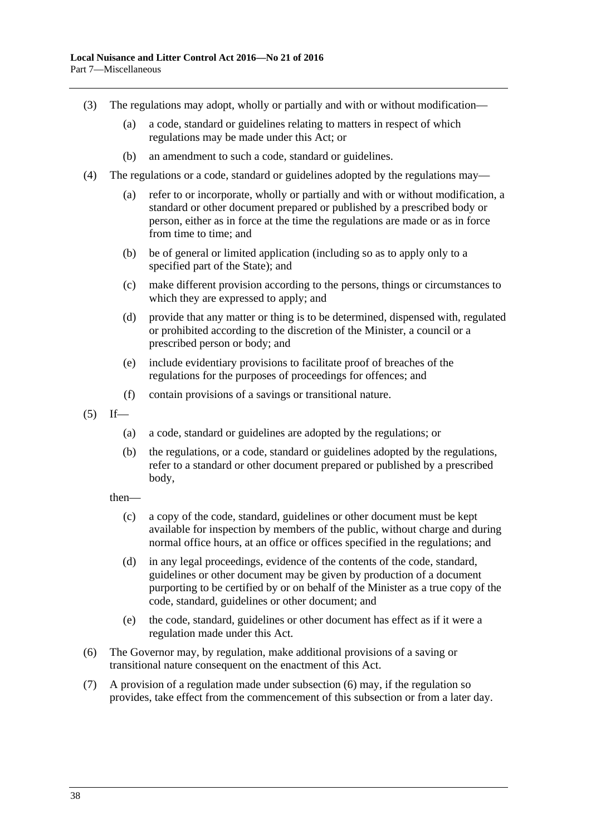- (3) The regulations may adopt, wholly or partially and with or without modification—
	- (a) a code, standard or guidelines relating to matters in respect of which regulations may be made under this Act; or
	- (b) an amendment to such a code, standard or guidelines.
- (4) The regulations or a code, standard or guidelines adopted by the regulations may—
	- (a) refer to or incorporate, wholly or partially and with or without modification, a standard or other document prepared or published by a prescribed body or person, either as in force at the time the regulations are made or as in force from time to time; and
	- (b) be of general or limited application (including so as to apply only to a specified part of the State); and
	- (c) make different provision according to the persons, things or circumstances to which they are expressed to apply; and
	- (d) provide that any matter or thing is to be determined, dispensed with, regulated or prohibited according to the discretion of the Minister, a council or a prescribed person or body; and
	- (e) include evidentiary provisions to facilitate proof of breaches of the regulations for the purposes of proceedings for offences; and
	- (f) contain provisions of a savings or transitional nature.
- $(5)$  If—
	- (a) a code, standard or guidelines are adopted by the regulations; or
	- (b) the regulations, or a code, standard or guidelines adopted by the regulations, refer to a standard or other document prepared or published by a prescribed body,
	- then—
		- (c) a copy of the code, standard, guidelines or other document must be kept available for inspection by members of the public, without charge and during normal office hours, at an office or offices specified in the regulations; and
		- (d) in any legal proceedings, evidence of the contents of the code, standard, guidelines or other document may be given by production of a document purporting to be certified by or on behalf of the Minister as a true copy of the code, standard, guidelines or other document; and
		- (e) the code, standard, guidelines or other document has effect as if it were a regulation made under this Act.
- <span id="page-37-0"></span>(6) The Governor may, by regulation, make additional provisions of a saving or transitional nature consequent on the enactment of this Act.
- <span id="page-37-1"></span>(7) A provision of a regulation made under [subsection](#page-37-0) (6) may, if the regulation so provides, take effect from the commencement of this subsection or from a later day.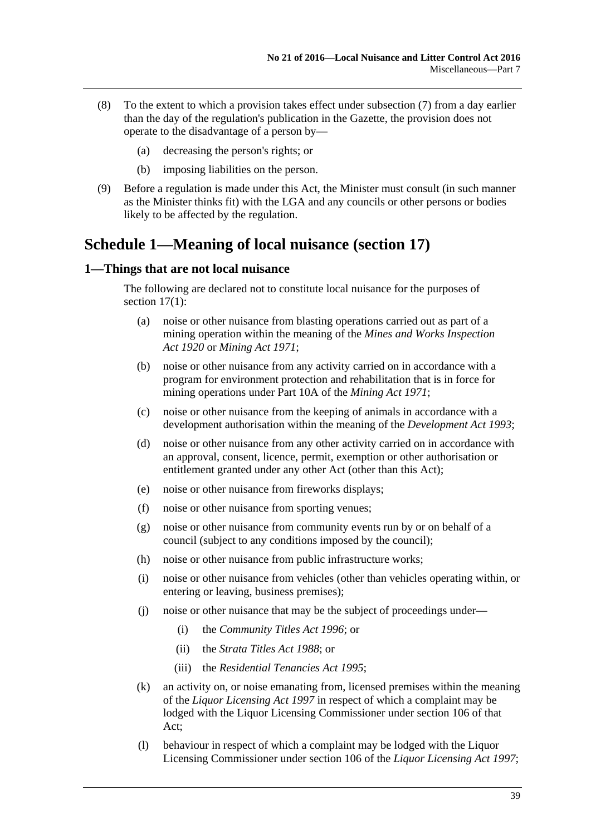- (8) To the extent to which a provision takes effect under [subsection](#page-37-1) (7) from a day earlier than the day of the regulation's publication in the Gazette, the provision does not operate to the disadvantage of a person by—
	- (a) decreasing the person's rights; or
	- (b) imposing liabilities on the person.
- (9) Before a regulation is made under this Act, the Minister must consult (in such manner as the Minister thinks fit) with the LGA and any councils or other persons or bodies likely to be affected by the regulation.

## <span id="page-38-0"></span>**Schedule 1—Meaning of local nuisance [\(section](#page-11-2) 17)**

### <span id="page-38-1"></span>**1—Things that are not local nuisance**

The following are declared not to constitute local nuisance for the purposes of [section](#page-11-6) 17(1):

- (a) noise or other nuisance from blasting operations carried out as part of a mining operation within the meaning of the *[Mines and Works Inspection](http://www.legislation.sa.gov.au/index.aspx?action=legref&type=act&legtitle=Mines%20and%20Works%20Inspection%20Act%201920)  Act [1920](http://www.legislation.sa.gov.au/index.aspx?action=legref&type=act&legtitle=Mines%20and%20Works%20Inspection%20Act%201920)* or *[Mining Act](http://www.legislation.sa.gov.au/index.aspx?action=legref&type=act&legtitle=Mining%20Act%201971) 1971*;
- (b) noise or other nuisance from any activity carried on in accordance with a program for environment protection and rehabilitation that is in force for mining operations under Part 10A of the *[Mining Act](http://www.legislation.sa.gov.au/index.aspx?action=legref&type=act&legtitle=Mining%20Act%201971) 1971*;
- (c) noise or other nuisance from the keeping of animals in accordance with a development authorisation within the meaning of the *[Development Act](http://www.legislation.sa.gov.au/index.aspx?action=legref&type=act&legtitle=Development%20Act%201993) 1993*;
- (d) noise or other nuisance from any other activity carried on in accordance with an approval, consent, licence, permit, exemption or other authorisation or entitlement granted under any other Act (other than this Act);
- (e) noise or other nuisance from fireworks displays;
- (f) noise or other nuisance from sporting venues;
- (g) noise or other nuisance from community events run by or on behalf of a council (subject to any conditions imposed by the council);
- (h) noise or other nuisance from public infrastructure works;
- (i) noise or other nuisance from vehicles (other than vehicles operating within, or entering or leaving, business premises);
- (j) noise or other nuisance that may be the subject of proceedings under—
	- (i) the *[Community Titles Act](http://www.legislation.sa.gov.au/index.aspx?action=legref&type=act&legtitle=Community%20Titles%20Act%201996) 1996*; or
	- (ii) the *[Strata Titles Act](http://www.legislation.sa.gov.au/index.aspx?action=legref&type=act&legtitle=Strata%20Titles%20Act%201988) 1988*; or
	- (iii) the *[Residential Tenancies Act](http://www.legislation.sa.gov.au/index.aspx?action=legref&type=act&legtitle=Residential%20Tenancies%20Act%201995) 1995*;
- (k) an activity on, or noise emanating from, licensed premises within the meaning of the *[Liquor Licensing Act](http://www.legislation.sa.gov.au/index.aspx?action=legref&type=act&legtitle=Liquor%20Licensing%20Act%201997) 1997* in respect of which a complaint may be lodged with the Liquor Licensing Commissioner under section 106 of that Act;
- (l) behaviour in respect of which a complaint may be lodged with the Liquor Licensing Commissioner under section 106 of the *[Liquor Licensing Act](http://www.legislation.sa.gov.au/index.aspx?action=legref&type=act&legtitle=Liquor%20Licensing%20Act%201997) 1997*;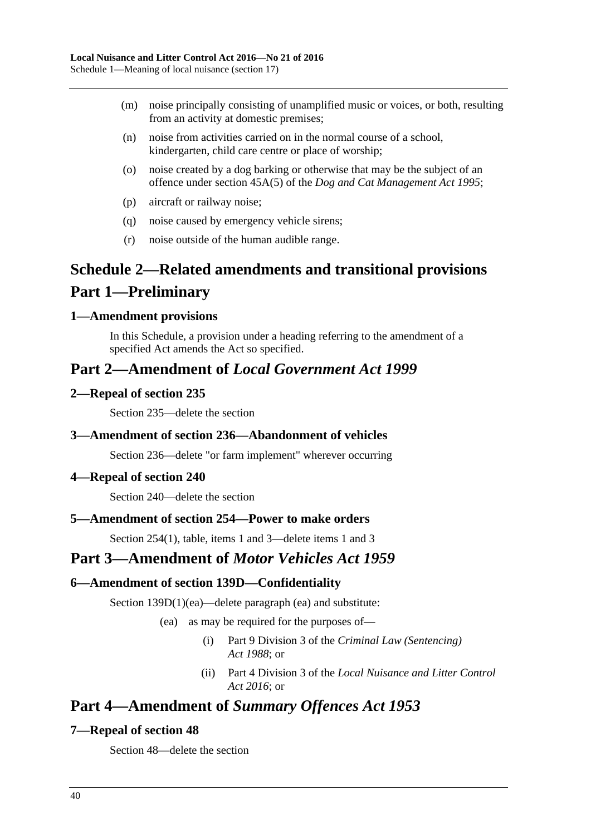- (m) noise principally consisting of unamplified music or voices, or both, resulting from an activity at domestic premises;
- (n) noise from activities carried on in the normal course of a school, kindergarten, child care centre or place of worship;
- (o) noise created by a dog barking or otherwise that may be the subject of an offence under section 45A(5) of the *[Dog and Cat Management Act](http://www.legislation.sa.gov.au/index.aspx?action=legref&type=act&legtitle=Dog%20and%20Cat%20Management%20Act%201995) 1995*;
- (p) aircraft or railway noise;
- (q) noise caused by emergency vehicle sirens;
- (r) noise outside of the human audible range.

## <span id="page-39-0"></span>**Schedule 2—Related amendments and transitional provisions Part 1—Preliminary**

## <span id="page-39-1"></span>**1—Amendment provisions**

In this Schedule, a provision under a heading referring to the amendment of a specified Act amends the Act so specified.

## **Part 2—Amendment of** *Local Government Act 1999*

## <span id="page-39-2"></span>**2—Repeal of section 235**

Section 235—delete the section

## <span id="page-39-3"></span>**3—Amendment of section 236—Abandonment of vehicles**

Section 236—delete "or farm implement" wherever occurring

## <span id="page-39-4"></span>**4—Repeal of section 240**

Section 240—delete the section

## <span id="page-39-5"></span>**5—Amendment of section 254—Power to make orders**

Section 254(1), table, items 1 and 3—delete items 1 and 3

## **Part 3—Amendment of** *Motor Vehicles Act 1959*

## <span id="page-39-6"></span>**6—Amendment of section 139D—Confidentiality**

Section 139D(1)(ea)—delete paragraph (ea) and substitute:

- (ea) as may be required for the purposes of—
	- (i) Part 9 Division 3 of the *[Criminal Law \(Sentencing\)](http://www.legislation.sa.gov.au/index.aspx?action=legref&type=act&legtitle=Criminal%20Law%20(Sentencing)%20Act%201988)  Act [1988](http://www.legislation.sa.gov.au/index.aspx?action=legref&type=act&legtitle=Criminal%20Law%20(Sentencing)%20Act%201988)*; or
	- (ii) Part 4 Division 3 of the *[Local Nuisance and Litter Control](http://www.legislation.sa.gov.au/index.aspx?action=legref&type=act&legtitle=Local%20Nuisance%20and%20Litter%20Control%20Act%202016)  Act [2016](http://www.legislation.sa.gov.au/index.aspx?action=legref&type=act&legtitle=Local%20Nuisance%20and%20Litter%20Control%20Act%202016)*; or

## **Part 4—Amendment of** *Summary Offences Act 1953*

## <span id="page-39-7"></span>**7—Repeal of section 48**

Section 48—delete the section